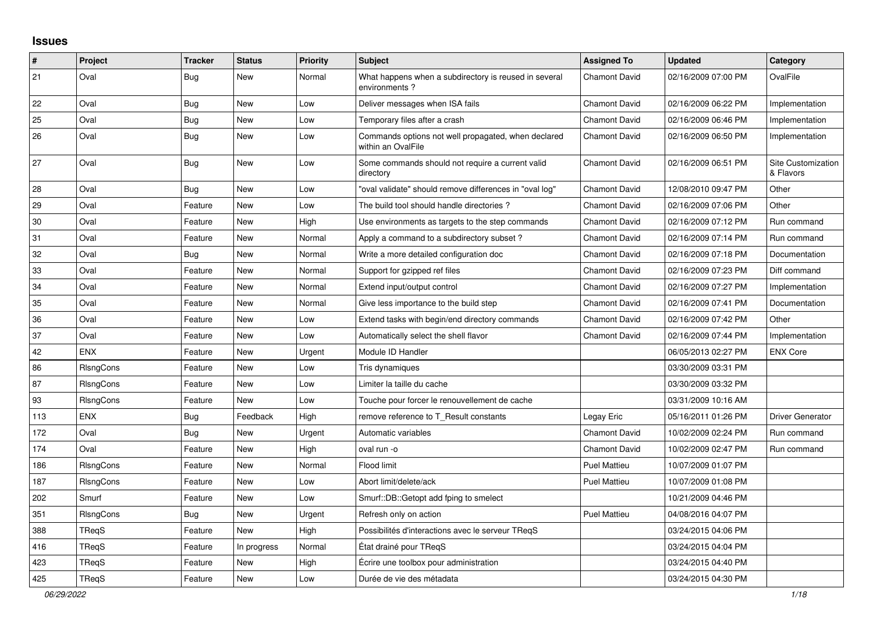## **Issues**

| #      | Project          | <b>Tracker</b> | <b>Status</b> | <b>Priority</b> | <b>Subject</b>                                                            | <b>Assigned To</b>   | <b>Updated</b>      | Category                               |
|--------|------------------|----------------|---------------|-----------------|---------------------------------------------------------------------------|----------------------|---------------------|----------------------------------------|
| 21     | Oval             | <b>Bug</b>     | <b>New</b>    | Normal          | What happens when a subdirectory is reused in several<br>environments?    | <b>Chamont David</b> | 02/16/2009 07:00 PM | OvalFile                               |
| 22     | Oval             | Bug            | <b>New</b>    | Low             | Deliver messages when ISA fails                                           | <b>Chamont David</b> | 02/16/2009 06:22 PM | Implementation                         |
| 25     | Oval             | <b>Bug</b>     | <b>New</b>    | Low             | Temporary files after a crash                                             | <b>Chamont David</b> | 02/16/2009 06:46 PM | Implementation                         |
| 26     | Oval             | Bug            | <b>New</b>    | Low             | Commands options not well propagated, when declared<br>within an OvalFile | <b>Chamont David</b> | 02/16/2009 06:50 PM | Implementation                         |
| 27     | Oval             | Bug            | New           | Low             | Some commands should not require a current valid<br>directory             | <b>Chamont David</b> | 02/16/2009 06:51 PM | <b>Site Customization</b><br>& Flavors |
| 28     | Oval             | <b>Bug</b>     | <b>New</b>    | Low             | "oval validate" should remove differences in "oval log"                   | <b>Chamont David</b> | 12/08/2010 09:47 PM | Other                                  |
| 29     | Oval             | Feature        | <b>New</b>    | Low             | The build tool should handle directories?                                 | <b>Chamont David</b> | 02/16/2009 07:06 PM | Other                                  |
| $30\,$ | Oval             | Feature        | <b>New</b>    | High            | Use environments as targets to the step commands                          | <b>Chamont David</b> | 02/16/2009 07:12 PM | Run command                            |
| 31     | Oval             | Feature        | <b>New</b>    | Normal          | Apply a command to a subdirectory subset?                                 | <b>Chamont David</b> | 02/16/2009 07:14 PM | Run command                            |
| 32     | Oval             | Bug            | New           | Normal          | Write a more detailed configuration doc                                   | Chamont David        | 02/16/2009 07:18 PM | Documentation                          |
| 33     | Oval             | Feature        | New           | Normal          | Support for gzipped ref files                                             | <b>Chamont David</b> | 02/16/2009 07:23 PM | Diff command                           |
| 34     | Oval             | Feature        | <b>New</b>    | Normal          | Extend input/output control                                               | <b>Chamont David</b> | 02/16/2009 07:27 PM | Implementation                         |
| 35     | Oval             | Feature        | New           | Normal          | Give less importance to the build step                                    | <b>Chamont David</b> | 02/16/2009 07:41 PM | Documentation                          |
| 36     | Oval             | Feature        | <b>New</b>    | Low             | Extend tasks with begin/end directory commands                            | <b>Chamont David</b> | 02/16/2009 07:42 PM | Other                                  |
| 37     | Oval             | Feature        | <b>New</b>    | Low             | Automatically select the shell flavor                                     | <b>Chamont David</b> | 02/16/2009 07:44 PM | Implementation                         |
| 42     | <b>ENX</b>       | Feature        | <b>New</b>    | Urgent          | Module ID Handler                                                         |                      | 06/05/2013 02:27 PM | <b>ENX Core</b>                        |
| 86     | RIsngCons        | Feature        | <b>New</b>    | Low             | Tris dynamiques                                                           |                      | 03/30/2009 03:31 PM |                                        |
| 87     | RIsngCons        | Feature        | <b>New</b>    | Low             | Limiter la taille du cache                                                |                      | 03/30/2009 03:32 PM |                                        |
| 93     | RIsngCons        | Feature        | <b>New</b>    | Low             | Touche pour forcer le renouvellement de cache                             |                      | 03/31/2009 10:16 AM |                                        |
| 113    | <b>ENX</b>       | <b>Bug</b>     | Feedback      | High            | remove reference to T_Result constants                                    | Legay Eric           | 05/16/2011 01:26 PM | <b>Driver Generator</b>                |
| 172    | Oval             | <b>Bug</b>     | <b>New</b>    | Urgent          | Automatic variables                                                       | <b>Chamont David</b> | 10/02/2009 02:24 PM | Run command                            |
| 174    | Oval             | Feature        | <b>New</b>    | High            | oval run -o                                                               | <b>Chamont David</b> | 10/02/2009 02:47 PM | Run command                            |
| 186    | RIsngCons        | Feature        | New           | Normal          | Flood limit                                                               | <b>Puel Mattieu</b>  | 10/07/2009 01:07 PM |                                        |
| 187    | RIsngCons        | Feature        | New           | Low             | Abort limit/delete/ack                                                    | <b>Puel Mattieu</b>  | 10/07/2009 01:08 PM |                                        |
| 202    | Smurf            | Feature        | <b>New</b>    | Low             | Smurf::DB::Getopt add fping to smelect                                    |                      | 10/21/2009 04:46 PM |                                        |
| 351    | <b>RIsngCons</b> | <b>Bug</b>     | <b>New</b>    | Urgent          | Refresh only on action                                                    | <b>Puel Mattieu</b>  | 04/08/2016 04:07 PM |                                        |
| 388    | TReqS            | Feature        | <b>New</b>    | High            | Possibilités d'interactions avec le serveur TReqS                         |                      | 03/24/2015 04:06 PM |                                        |
| 416    | TReqS            | Feature        | In progress   | Normal          | État drainé pour TRegS                                                    |                      | 03/24/2015 04:04 PM |                                        |
| 423    | <b>TRegS</b>     | Feature        | <b>New</b>    | High            | Écrire une toolbox pour administration                                    |                      | 03/24/2015 04:40 PM |                                        |
| 425    | TReqS            | Feature        | New           | Low             | Durée de vie des métadata                                                 |                      | 03/24/2015 04:30 PM |                                        |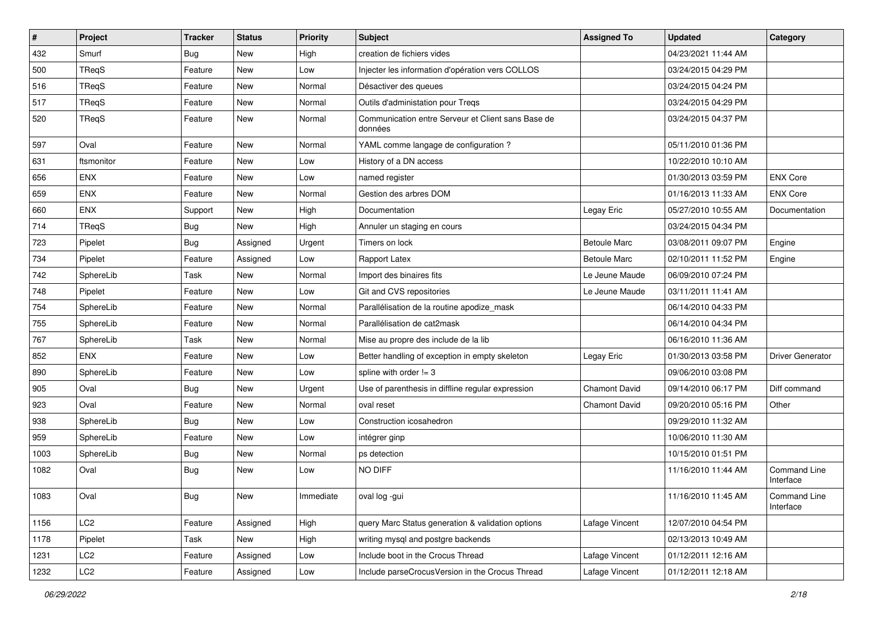| $\sharp$ | Project         | <b>Tracker</b> | <b>Status</b> | <b>Priority</b> | <b>Subject</b>                                                | <b>Assigned To</b>   | <b>Updated</b>      | Category                  |
|----------|-----------------|----------------|---------------|-----------------|---------------------------------------------------------------|----------------------|---------------------|---------------------------|
| 432      | Smurf           | Bug            | New           | High            | creation de fichiers vides                                    |                      | 04/23/2021 11:44 AM |                           |
| 500      | TReqS           | Feature        | New           | Low             | Injecter les information d'opération vers COLLOS              |                      | 03/24/2015 04:29 PM |                           |
| 516      | TReqS           | Feature        | New           | Normal          | Désactiver des queues                                         |                      | 03/24/2015 04:24 PM |                           |
| 517      | TReqS           | Feature        | New           | Normal          | Outils d'administation pour Treqs                             |                      | 03/24/2015 04:29 PM |                           |
| 520      | TReqS           | Feature        | <b>New</b>    | Normal          | Communication entre Serveur et Client sans Base de<br>données |                      | 03/24/2015 04:37 PM |                           |
| 597      | Oval            | Feature        | <b>New</b>    | Normal          | YAML comme langage de configuration ?                         |                      | 05/11/2010 01:36 PM |                           |
| 631      | ftsmonitor      | Feature        | New           | Low             | History of a DN access                                        |                      | 10/22/2010 10:10 AM |                           |
| 656      | <b>ENX</b>      | Feature        | New           | Low             | named register                                                |                      | 01/30/2013 03:59 PM | <b>ENX Core</b>           |
| 659      | <b>ENX</b>      | Feature        | New           | Normal          | Gestion des arbres DOM                                        |                      | 01/16/2013 11:33 AM | <b>ENX Core</b>           |
| 660      | ENX             | Support        | <b>New</b>    | High            | Documentation                                                 | Legay Eric           | 05/27/2010 10:55 AM | Documentation             |
| 714      | TReqS           | <b>Bug</b>     | New           | High            | Annuler un staging en cours                                   |                      | 03/24/2015 04:34 PM |                           |
| 723      | Pipelet         | <b>Bug</b>     | Assigned      | Urgent          | Timers on lock                                                | <b>Betoule Marc</b>  | 03/08/2011 09:07 PM | Engine                    |
| 734      | Pipelet         | Feature        | Assigned      | Low             | Rapport Latex                                                 | <b>Betoule Marc</b>  | 02/10/2011 11:52 PM | Engine                    |
| 742      | SphereLib       | Task           | New           | Normal          | Import des binaires fits                                      | Le Jeune Maude       | 06/09/2010 07:24 PM |                           |
| 748      | Pipelet         | Feature        | New           | Low             | Git and CVS repositories                                      | Le Jeune Maude       | 03/11/2011 11:41 AM |                           |
| 754      | SphereLib       | Feature        | New           | Normal          | Parallélisation de la routine apodize mask                    |                      | 06/14/2010 04:33 PM |                           |
| 755      | SphereLib       | Feature        | New           | Normal          | Parallélisation de cat2mask                                   |                      | 06/14/2010 04:34 PM |                           |
| 767      | SphereLib       | Task           | New           | Normal          | Mise au propre des include de la lib                          |                      | 06/16/2010 11:36 AM |                           |
| 852      | <b>ENX</b>      | Feature        | <b>New</b>    | Low             | Better handling of exception in empty skeleton                | Legay Eric           | 01/30/2013 03:58 PM | <b>Driver Generator</b>   |
| 890      | SphereLib       | Feature        | New           | Low             | spline with order $!= 3$                                      |                      | 09/06/2010 03:08 PM |                           |
| 905      | Oval            | <b>Bug</b>     | New           | Urgent          | Use of parenthesis in diffline regular expression             | <b>Chamont David</b> | 09/14/2010 06:17 PM | Diff command              |
| 923      | Oval            | Feature        | New           | Normal          | oval reset                                                    | <b>Chamont David</b> | 09/20/2010 05:16 PM | Other                     |
| 938      | SphereLib       | <b>Bug</b>     | New           | Low             | Construction icosahedron                                      |                      | 09/29/2010 11:32 AM |                           |
| 959      | SphereLib       | Feature        | New           | Low             | intégrer ginp                                                 |                      | 10/06/2010 11:30 AM |                           |
| 1003     | SphereLib       | <b>Bug</b>     | New           | Normal          | ps detection                                                  |                      | 10/15/2010 01:51 PM |                           |
| 1082     | Oval            | Bug            | New           | Low             | NO DIFF                                                       |                      | 11/16/2010 11:44 AM | Command Line<br>Interface |
| 1083     | Oval            | <b>Bug</b>     | New           | Immediate       | oval log -gui                                                 |                      | 11/16/2010 11:45 AM | Command Line<br>Interface |
| 1156     | LC <sub>2</sub> | Feature        | Assigned      | High            | query Marc Status generation & validation options             | Lafage Vincent       | 12/07/2010 04:54 PM |                           |
| 1178     | Pipelet         | Task           | New           | High            | writing mysql and postgre backends                            |                      | 02/13/2013 10:49 AM |                           |
| 1231     | LC <sub>2</sub> | Feature        | Assigned      | Low             | Include boot in the Crocus Thread                             | Lafage Vincent       | 01/12/2011 12:16 AM |                           |
| 1232     | LC <sub>2</sub> | Feature        | Assigned      | Low             | Include parseCrocusVersion in the Crocus Thread               | Lafage Vincent       | 01/12/2011 12:18 AM |                           |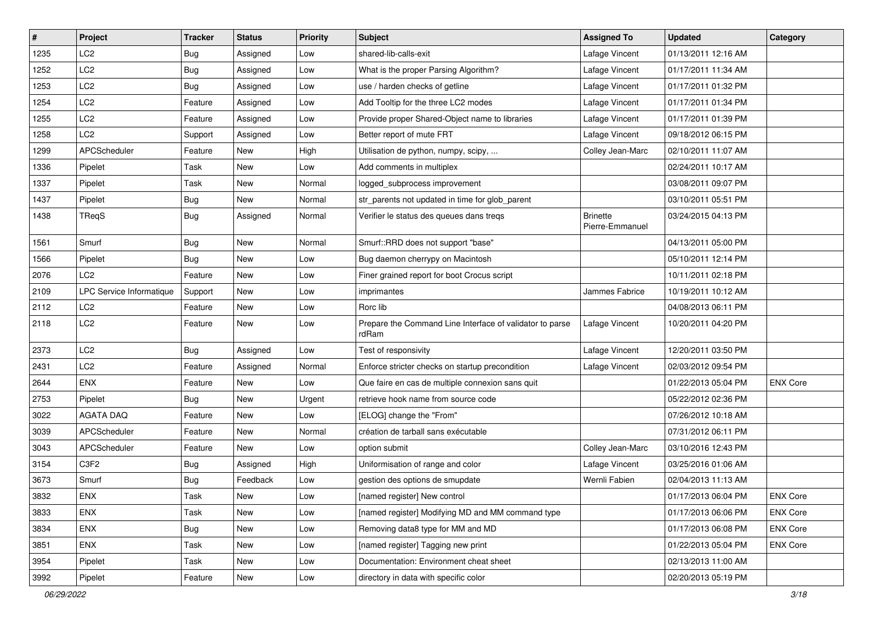| $\vert$ # | Project                  | <b>Tracker</b> | <b>Status</b> | <b>Priority</b> | <b>Subject</b>                                                    | <b>Assigned To</b>                 | <b>Updated</b>      | Category        |
|-----------|--------------------------|----------------|---------------|-----------------|-------------------------------------------------------------------|------------------------------------|---------------------|-----------------|
| 1235      | LC <sub>2</sub>          | <b>Bug</b>     | Assigned      | Low             | shared-lib-calls-exit                                             | Lafage Vincent                     | 01/13/2011 12:16 AM |                 |
| 1252      | LC <sub>2</sub>          | <b>Bug</b>     | Assigned      | Low             | What is the proper Parsing Algorithm?                             | Lafage Vincent                     | 01/17/2011 11:34 AM |                 |
| 1253      | LC <sub>2</sub>          | <b>Bug</b>     | Assigned      | Low             | use / harden checks of getline                                    | Lafage Vincent                     | 01/17/2011 01:32 PM |                 |
| 1254      | LC <sub>2</sub>          | Feature        | Assigned      | Low             | Add Tooltip for the three LC2 modes                               | Lafage Vincent                     | 01/17/2011 01:34 PM |                 |
| 1255      | LC <sub>2</sub>          | Feature        | Assigned      | Low             | Provide proper Shared-Object name to libraries                    | Lafage Vincent                     | 01/17/2011 01:39 PM |                 |
| 1258      | LC <sub>2</sub>          | Support        | Assigned      | Low             | Better report of mute FRT                                         | Lafage Vincent                     | 09/18/2012 06:15 PM |                 |
| 1299      | APCScheduler             | Feature        | New           | High            | Utilisation de python, numpy, scipy,                              | Colley Jean-Marc                   | 02/10/2011 11:07 AM |                 |
| 1336      | Pipelet                  | Task           | New           | Low             | Add comments in multiplex                                         |                                    | 02/24/2011 10:17 AM |                 |
| 1337      | Pipelet                  | Task           | New           | Normal          | logged_subprocess improvement                                     |                                    | 03/08/2011 09:07 PM |                 |
| 1437      | Pipelet                  | <b>Bug</b>     | New           | Normal          | str_parents not updated in time for glob_parent                   |                                    | 03/10/2011 05:51 PM |                 |
| 1438      | TReqS                    | <b>Bug</b>     | Assigned      | Normal          | Verifier le status des queues dans treqs                          | <b>Brinette</b><br>Pierre-Emmanuel | 03/24/2015 04:13 PM |                 |
| 1561      | Smurf                    | Bug            | New           | Normal          | Smurf::RRD does not support "base"                                |                                    | 04/13/2011 05:00 PM |                 |
| 1566      | Pipelet                  | <b>Bug</b>     | New           | Low             | Bug daemon cherrypy on Macintosh                                  |                                    | 05/10/2011 12:14 PM |                 |
| 2076      | LC <sub>2</sub>          | Feature        | <b>New</b>    | Low             | Finer grained report for boot Crocus script                       |                                    | 10/11/2011 02:18 PM |                 |
| 2109      | LPC Service Informatique | Support        | New           | Low             | imprimantes                                                       | Jammes Fabrice                     | 10/19/2011 10:12 AM |                 |
| 2112      | LC <sub>2</sub>          | Feature        | New           | Low             | Rorc lib                                                          |                                    | 04/08/2013 06:11 PM |                 |
| 2118      | LC <sub>2</sub>          | Feature        | New           | Low             | Prepare the Command Line Interface of validator to parse<br>rdRam | Lafage Vincent                     | 10/20/2011 04:20 PM |                 |
| 2373      | LC <sub>2</sub>          | <b>Bug</b>     | Assigned      | Low             | Test of responsivity                                              | Lafage Vincent                     | 12/20/2011 03:50 PM |                 |
| 2431      | LC <sub>2</sub>          | Feature        | Assigned      | Normal          | Enforce stricter checks on startup precondition                   | Lafage Vincent                     | 02/03/2012 09:54 PM |                 |
| 2644      | ENX                      | Feature        | New           | Low             | Que faire en cas de multiple connexion sans quit                  |                                    | 01/22/2013 05:04 PM | <b>ENX Core</b> |
| 2753      | Pipelet                  | <b>Bug</b>     | New           | Urgent          | retrieve hook name from source code                               |                                    | 05/22/2012 02:36 PM |                 |
| 3022      | <b>AGATA DAQ</b>         | Feature        | New           | Low             | [ELOG] change the "From"                                          |                                    | 07/26/2012 10:18 AM |                 |
| 3039      | APCScheduler             | Feature        | New           | Normal          | création de tarball sans exécutable                               |                                    | 07/31/2012 06:11 PM |                 |
| 3043      | APCScheduler             | Feature        | <b>New</b>    | Low             | option submit                                                     | Colley Jean-Marc                   | 03/10/2016 12:43 PM |                 |
| 3154      | C3F2                     | <b>Bug</b>     | Assigned      | High            | Uniformisation of range and color                                 | Lafage Vincent                     | 03/25/2016 01:06 AM |                 |
| 3673      | Smurf                    | <b>Bug</b>     | Feedback      | Low             | gestion des options de smupdate                                   | Wernli Fabien                      | 02/04/2013 11:13 AM |                 |
| 3832      | ENX                      | Task           | New           | Low             | [named register] New control                                      |                                    | 01/17/2013 06:04 PM | <b>ENX Core</b> |
| 3833      | <b>ENX</b>               | Task           | New           | Low             | [named register] Modifying MD and MM command type                 |                                    | 01/17/2013 06:06 PM | <b>ENX Core</b> |
| 3834      | <b>ENX</b>               | <b>Bug</b>     | New           | Low             | Removing data8 type for MM and MD                                 |                                    | 01/17/2013 06:08 PM | <b>ENX Core</b> |
| 3851      | ENX                      | Task           | New           | Low             | [named register] Tagging new print                                |                                    | 01/22/2013 05:04 PM | <b>ENX Core</b> |
| 3954      | Pipelet                  | Task           | New           | Low             | Documentation: Environment cheat sheet                            |                                    | 02/13/2013 11:00 AM |                 |
| 3992      | Pipelet                  | Feature        | New           | Low             | directory in data with specific color                             |                                    | 02/20/2013 05:19 PM |                 |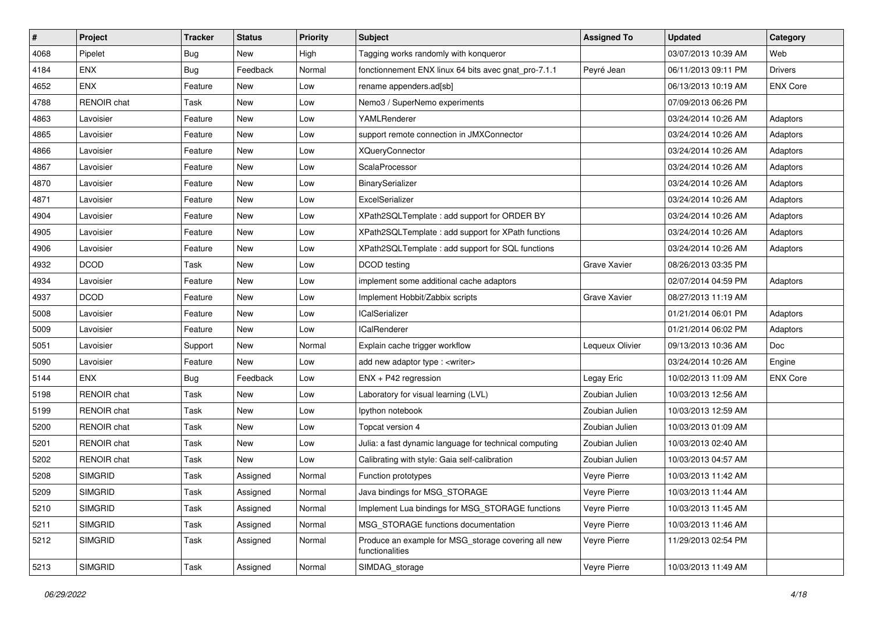| $\pmb{\#}$ | Project            | <b>Tracker</b> | <b>Status</b> | <b>Priority</b> | <b>Subject</b>                                                         | <b>Assigned To</b>  | <b>Updated</b>      | Category        |
|------------|--------------------|----------------|---------------|-----------------|------------------------------------------------------------------------|---------------------|---------------------|-----------------|
| 4068       | Pipelet            | <b>Bug</b>     | New           | High            | Tagging works randomly with konqueror                                  |                     | 03/07/2013 10:39 AM | Web             |
| 4184       | <b>ENX</b>         | Bug            | Feedback      | Normal          | fonctionnement ENX linux 64 bits avec gnat_pro-7.1.1                   | Peyré Jean          | 06/11/2013 09:11 PM | <b>Drivers</b>  |
| 4652       | <b>ENX</b>         | Feature        | New           | Low             | rename appenders.ad[sb]                                                |                     | 06/13/2013 10:19 AM | <b>ENX Core</b> |
| 4788       | RENOIR chat        | Task           | New           | Low             | Nemo3 / SuperNemo experiments                                          |                     | 07/09/2013 06:26 PM |                 |
| 4863       | Lavoisier          | Feature        | New           | Low             | YAMLRenderer                                                           |                     | 03/24/2014 10:26 AM | Adaptors        |
| 4865       | Lavoisier          | Feature        | New           | Low             | support remote connection in JMXConnector                              |                     | 03/24/2014 10:26 AM | Adaptors        |
| 4866       | Lavoisier          | Feature        | New           | Low             | <b>XQueryConnector</b>                                                 |                     | 03/24/2014 10:26 AM | Adaptors        |
| 4867       | Lavoisier          | Feature        | New           | Low             | ScalaProcessor                                                         |                     | 03/24/2014 10:26 AM | Adaptors        |
| 4870       | Lavoisier          | Feature        | New           | Low             | BinarySerializer                                                       |                     | 03/24/2014 10:26 AM | Adaptors        |
| 4871       | Lavoisier          | Feature        | <b>New</b>    | Low             | ExcelSerializer                                                        |                     | 03/24/2014 10:26 AM | Adaptors        |
| 4904       | Lavoisier          | Feature        | New           | Low             | XPath2SQLTemplate: add support for ORDER BY                            |                     | 03/24/2014 10:26 AM | Adaptors        |
| 4905       | Lavoisier          | Feature        | New           | Low             | XPath2SQLTemplate: add support for XPath functions                     |                     | 03/24/2014 10:26 AM | Adaptors        |
| 4906       | Lavoisier          | Feature        | New           | Low             | XPath2SQLTemplate : add support for SQL functions                      |                     | 03/24/2014 10:26 AM | Adaptors        |
| 4932       | <b>DCOD</b>        | Task           | New           | Low             | DCOD testing                                                           | <b>Grave Xavier</b> | 08/26/2013 03:35 PM |                 |
| 4934       | Lavoisier          | Feature        | New           | Low             | implement some additional cache adaptors                               |                     | 02/07/2014 04:59 PM | Adaptors        |
| 4937       | <b>DCOD</b>        | Feature        | New           | Low             | Implement Hobbit/Zabbix scripts                                        | <b>Grave Xavier</b> | 08/27/2013 11:19 AM |                 |
| 5008       | Lavoisier          | Feature        | New           | Low             | <b>ICalSerializer</b>                                                  |                     | 01/21/2014 06:01 PM | Adaptors        |
| 5009       | Lavoisier          | Feature        | New           | Low             | <b>ICalRenderer</b>                                                    |                     | 01/21/2014 06:02 PM | Adaptors        |
| 5051       | Lavoisier          | Support        | New           | Normal          | Explain cache trigger workflow                                         | Lequeux Olivier     | 09/13/2013 10:36 AM | Doc             |
| 5090       | Lavoisier          | Feature        | New           | Low             | add new adaptor type : <writer></writer>                               |                     | 03/24/2014 10:26 AM | Engine          |
| 5144       | <b>ENX</b>         | <b>Bug</b>     | Feedback      | Low             | ENX + P42 regression                                                   | Legay Eric          | 10/02/2013 11:09 AM | <b>ENX Core</b> |
| 5198       | <b>RENOIR</b> chat | Task           | New           | Low             | Laboratory for visual learning (LVL)                                   | Zoubian Julien      | 10/03/2013 12:56 AM |                 |
| 5199       | <b>RENOIR</b> chat | Task           | New           | Low             | Ipython notebook                                                       | Zoubian Julien      | 10/03/2013 12:59 AM |                 |
| 5200       | <b>RENOIR</b> chat | Task           | New           | Low             | Topcat version 4                                                       | Zoubian Julien      | 10/03/2013 01:09 AM |                 |
| 5201       | <b>RENOIR</b> chat | Task           | New           | Low             | Julia: a fast dynamic language for technical computing                 | Zoubian Julien      | 10/03/2013 02:40 AM |                 |
| 5202       | <b>RENOIR chat</b> | Task           | New           | Low             | Calibrating with style: Gaia self-calibration                          | Zoubian Julien      | 10/03/2013 04:57 AM |                 |
| 5208       | <b>SIMGRID</b>     | Task           | Assigned      | Normal          | Function prototypes                                                    | Veyre Pierre        | 10/03/2013 11:42 AM |                 |
| 5209       | <b>SIMGRID</b>     | Task           | Assigned      | Normal          | Java bindings for MSG_STORAGE                                          | Veyre Pierre        | 10/03/2013 11:44 AM |                 |
| 5210       | <b>SIMGRID</b>     | Task           | Assigned      | Normal          | Implement Lua bindings for MSG STORAGE functions                       | Veyre Pierre        | 10/03/2013 11:45 AM |                 |
| 5211       | <b>SIMGRID</b>     | Task           | Assigned      | Normal          | MSG STORAGE functions documentation                                    | Veyre Pierre        | 10/03/2013 11:46 AM |                 |
| 5212       | <b>SIMGRID</b>     | Task           | Assigned      | Normal          | Produce an example for MSG_storage covering all new<br>functionalities | Veyre Pierre        | 11/29/2013 02:54 PM |                 |
| 5213       | <b>SIMGRID</b>     | Task           | Assigned      | Normal          | SIMDAG_storage                                                         | Veyre Pierre        | 10/03/2013 11:49 AM |                 |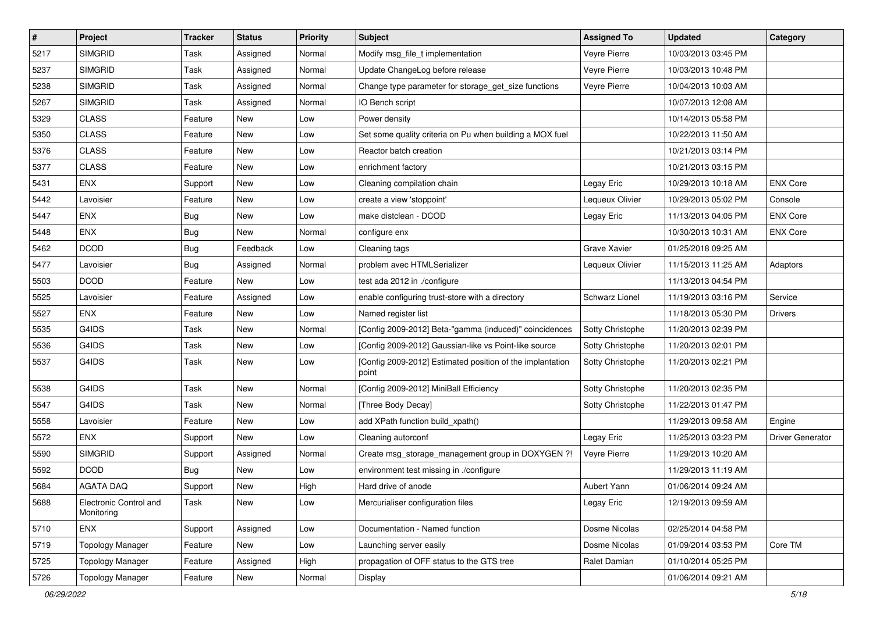| $\pmb{\#}$ | Project                              | <b>Tracker</b> | <b>Status</b> | <b>Priority</b> | <b>Subject</b>                                                     | <b>Assigned To</b>  | <b>Updated</b>      | Category         |
|------------|--------------------------------------|----------------|---------------|-----------------|--------------------------------------------------------------------|---------------------|---------------------|------------------|
| 5217       | <b>SIMGRID</b>                       | Task           | Assigned      | Normal          | Modify msg_file_t implementation                                   | Veyre Pierre        | 10/03/2013 03:45 PM |                  |
| 5237       | <b>SIMGRID</b>                       | Task           | Assigned      | Normal          | Update ChangeLog before release                                    | Veyre Pierre        | 10/03/2013 10:48 PM |                  |
| 5238       | <b>SIMGRID</b>                       | Task           | Assigned      | Normal          | Change type parameter for storage_get_size functions               | Veyre Pierre        | 10/04/2013 10:03 AM |                  |
| 5267       | <b>SIMGRID</b>                       | Task           | Assigned      | Normal          | IO Bench script                                                    |                     | 10/07/2013 12:08 AM |                  |
| 5329       | <b>CLASS</b>                         | Feature        | New           | Low             | Power density                                                      |                     | 10/14/2013 05:58 PM |                  |
| 5350       | <b>CLASS</b>                         | Feature        | New           | Low             | Set some quality criteria on Pu when building a MOX fuel           |                     | 10/22/2013 11:50 AM |                  |
| 5376       | <b>CLASS</b>                         | Feature        | New           | Low             | Reactor batch creation                                             |                     | 10/21/2013 03:14 PM |                  |
| 5377       | <b>CLASS</b>                         | Feature        | New           | Low             | enrichment factory                                                 |                     | 10/21/2013 03:15 PM |                  |
| 5431       | <b>ENX</b>                           | Support        | New           | Low             | Cleaning compilation chain                                         | Legay Eric          | 10/29/2013 10:18 AM | <b>ENX Core</b>  |
| 5442       | Lavoisier                            | Feature        | New           | Low             | create a view 'stoppoint'                                          | Lequeux Olivier     | 10/29/2013 05:02 PM | Console          |
| 5447       | <b>ENX</b>                           | <b>Bug</b>     | <b>New</b>    | Low             | make distclean - DCOD                                              | Legay Eric          | 11/13/2013 04:05 PM | <b>ENX Core</b>  |
| 5448       | <b>ENX</b>                           | <b>Bug</b>     | <b>New</b>    | Normal          | configure enx                                                      |                     | 10/30/2013 10:31 AM | <b>ENX Core</b>  |
| 5462       | <b>DCOD</b>                          | <b>Bug</b>     | Feedback      | Low             | Cleaning tags                                                      | <b>Grave Xavier</b> | 01/25/2018 09:25 AM |                  |
| 5477       | Lavoisier                            | <b>Bug</b>     | Assigned      | Normal          | problem avec HTMLSerializer                                        | Lequeux Olivier     | 11/15/2013 11:25 AM | Adaptors         |
| 5503       | <b>DCOD</b>                          | Feature        | New           | Low             | test ada 2012 in ./configure                                       |                     | 11/13/2013 04:54 PM |                  |
| 5525       | Lavoisier                            | Feature        | Assigned      | Low             | enable configuring trust-store with a directory                    | Schwarz Lionel      | 11/19/2013 03:16 PM | Service          |
| 5527       | <b>ENX</b>                           | Feature        | New           | Low             | Named register list                                                |                     | 11/18/2013 05:30 PM | <b>Drivers</b>   |
| 5535       | G4IDS                                | Task           | New           | Normal          | [Config 2009-2012] Beta-"gamma (induced)" coincidences             | Sotty Christophe    | 11/20/2013 02:39 PM |                  |
| 5536       | G4IDS                                | Task           | New           | Low             | [Config 2009-2012] Gaussian-like vs Point-like source              | Sotty Christophe    | 11/20/2013 02:01 PM |                  |
| 5537       | G4IDS                                | Task           | <b>New</b>    | Low             | [Config 2009-2012] Estimated position of the implantation<br>point | Sotty Christophe    | 11/20/2013 02:21 PM |                  |
| 5538       | G4IDS                                | Task           | New           | Normal          | [Config 2009-2012] MiniBall Efficiency                             | Sotty Christophe    | 11/20/2013 02:35 PM |                  |
| 5547       | G4IDS                                | Task           | New           | Normal          | [Three Body Decay]                                                 | Sotty Christophe    | 11/22/2013 01:47 PM |                  |
| 5558       | Lavoisier                            | Feature        | <b>New</b>    | Low             | add XPath function build_xpath()                                   |                     | 11/29/2013 09:58 AM | Engine           |
| 5572       | <b>ENX</b>                           | Support        | New           | Low             | Cleaning autorconf                                                 | Legay Eric          | 11/25/2013 03:23 PM | Driver Generator |
| 5590       | <b>SIMGRID</b>                       | Support        | Assigned      | Normal          | Create msg_storage_management group in DOXYGEN ?!                  | Veyre Pierre        | 11/29/2013 10:20 AM |                  |
| 5592       | <b>DCOD</b>                          | <b>Bug</b>     | New           | Low             | environment test missing in ./configure                            |                     | 11/29/2013 11:19 AM |                  |
| 5684       | <b>AGATA DAQ</b>                     | Support        | <b>New</b>    | High            | Hard drive of anode                                                | <b>Aubert Yann</b>  | 01/06/2014 09:24 AM |                  |
| 5688       | Electronic Control and<br>Monitoring | Task           | New           | Low             | Mercurialiser configuration files                                  | Legay Eric          | 12/19/2013 09:59 AM |                  |
| 5710       | <b>ENX</b>                           | Support        | Assigned      | Low             | Documentation - Named function                                     | Dosme Nicolas       | 02/25/2014 04:58 PM |                  |
| 5719       | <b>Topology Manager</b>              | Feature        | New           | Low             | Launching server easily                                            | Dosme Nicolas       | 01/09/2014 03:53 PM | Core TM          |
| 5725       | <b>Topology Manager</b>              | Feature        | Assigned      | High            | propagation of OFF status to the GTS tree                          | Ralet Damian        | 01/10/2014 05:25 PM |                  |
| 5726       | <b>Topology Manager</b>              | Feature        | New           | Normal          | Display                                                            |                     | 01/06/2014 09:21 AM |                  |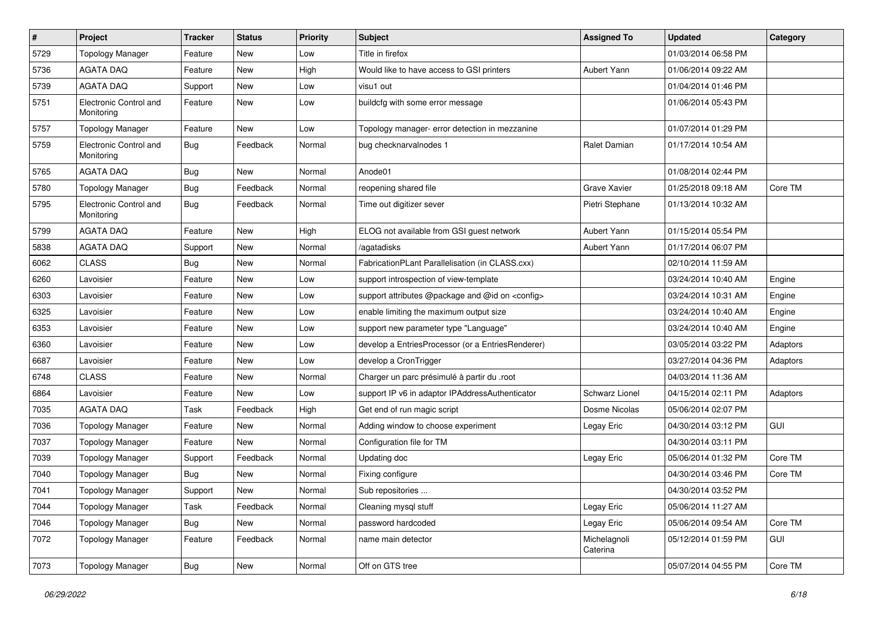| $\vert$ # | Project                              | <b>Tracker</b> | <b>Status</b> | <b>Priority</b> | Subject                                                  | <b>Assigned To</b>       | <b>Updated</b>      | Category   |
|-----------|--------------------------------------|----------------|---------------|-----------------|----------------------------------------------------------|--------------------------|---------------------|------------|
| 5729      | <b>Topology Manager</b>              | Feature        | New           | Low             | Title in firefox                                         |                          | 01/03/2014 06:58 PM |            |
| 5736      | <b>AGATA DAQ</b>                     | Feature        | <b>New</b>    | High            | Would like to have access to GSI printers                | Aubert Yann              | 01/06/2014 09:22 AM |            |
| 5739      | <b>AGATA DAQ</b>                     | Support        | New           | Low             | visu1 out                                                |                          | 01/04/2014 01:46 PM |            |
| 5751      | Electronic Control and<br>Monitoring | Feature        | New           | Low             | buildcfg with some error message                         |                          | 01/06/2014 05:43 PM |            |
| 5757      | <b>Topology Manager</b>              | Feature        | <b>New</b>    | Low             | Topology manager- error detection in mezzanine           |                          | 01/07/2014 01:29 PM |            |
| 5759      | Electronic Control and<br>Monitoring | <b>Bug</b>     | Feedback      | Normal          | bug checknarvalnodes 1                                   | Ralet Damian             | 01/17/2014 10:54 AM |            |
| 5765      | AGATA DAQ                            | Bug            | <b>New</b>    | Normal          | Anode01                                                  |                          | 01/08/2014 02:44 PM |            |
| 5780      | <b>Topology Manager</b>              | <b>Bug</b>     | Feedback      | Normal          | reopening shared file                                    | Grave Xavier             | 01/25/2018 09:18 AM | Core TM    |
| 5795      | Electronic Control and<br>Monitoring | Bug            | Feedback      | Normal          | Time out digitizer sever                                 | Pietri Stephane          | 01/13/2014 10:32 AM |            |
| 5799      | <b>AGATA DAQ</b>                     | Feature        | <b>New</b>    | High            | ELOG not available from GSI guest network                | Aubert Yann              | 01/15/2014 05:54 PM |            |
| 5838      | <b>AGATA DAQ</b>                     | Support        | New           | Normal          | /agatadisks                                              | Aubert Yann              | 01/17/2014 06:07 PM |            |
| 6062      | <b>CLASS</b>                         | <b>Bug</b>     | <b>New</b>    | Normal          | FabricationPLant Parallelisation (in CLASS.cxx)          |                          | 02/10/2014 11:59 AM |            |
| 6260      | Lavoisier                            | Feature        | New           | Low             | support introspection of view-template                   |                          | 03/24/2014 10:40 AM | Engine     |
| 6303      | Lavoisier                            | Feature        | New           | Low             | support attributes @package and @id on <config></config> |                          | 03/24/2014 10:31 AM | Engine     |
| 6325      | Lavoisier                            | Feature        | New           | Low             | enable limiting the maximum output size                  |                          | 03/24/2014 10:40 AM | Engine     |
| 6353      | Lavoisier                            | Feature        | New           | Low             | support new parameter type "Language"                    |                          | 03/24/2014 10:40 AM | Engine     |
| 6360      | Lavoisier                            | Feature        | New           | Low             | develop a EntriesProcessor (or a EntriesRenderer)        |                          | 03/05/2014 03:22 PM | Adaptors   |
| 6687      | Lavoisier                            | Feature        | New           | Low             | develop a CronTrigger                                    |                          | 03/27/2014 04:36 PM | Adaptors   |
| 6748      | <b>CLASS</b>                         | Feature        | New           | Normal          | Charger un parc présimulé à partir du .root              |                          | 04/03/2014 11:36 AM |            |
| 6864      | Lavoisier                            | Feature        | <b>New</b>    | Low             | support IP v6 in adaptor IPAddressAuthenticator          | Schwarz Lionel           | 04/15/2014 02:11 PM | Adaptors   |
| 7035      | <b>AGATA DAQ</b>                     | Task           | Feedback      | High            | Get end of run magic script                              | Dosme Nicolas            | 05/06/2014 02:07 PM |            |
| 7036      | <b>Topology Manager</b>              | Feature        | New           | Normal          | Adding window to choose experiment                       | Legay Eric               | 04/30/2014 03:12 PM | GUI        |
| 7037      | <b>Topology Manager</b>              | Feature        | New           | Normal          | Configuration file for TM                                |                          | 04/30/2014 03:11 PM |            |
| 7039      | <b>Topology Manager</b>              | Support        | Feedback      | Normal          | Updating doc                                             | Legay Eric               | 05/06/2014 01:32 PM | Core TM    |
| 7040      | <b>Topology Manager</b>              | <b>Bug</b>     | <b>New</b>    | Normal          | Fixing configure                                         |                          | 04/30/2014 03:46 PM | Core TM    |
| 7041      | <b>Topology Manager</b>              | Support        | New           | Normal          | Sub repositories.                                        |                          | 04/30/2014 03:52 PM |            |
| 7044      | <b>Topology Manager</b>              | Task           | Feedback      | Normal          | Cleaning mysql stuff                                     | Legay Eric               | 05/06/2014 11:27 AM |            |
| 7046      | <b>Topology Manager</b>              | <b>Bug</b>     | New           | Normal          | password hardcoded                                       | Legay Eric               | 05/06/2014 09:54 AM | Core TM    |
| 7072      | <b>Topology Manager</b>              | Feature        | Feedback      | Normal          | name main detector                                       | Michelagnoli<br>Caterina | 05/12/2014 01:59 PM | <b>GUI</b> |
| 7073      | <b>Topology Manager</b>              | <b>Bug</b>     | New           | Normal          | Off on GTS tree                                          |                          | 05/07/2014 04:55 PM | Core TM    |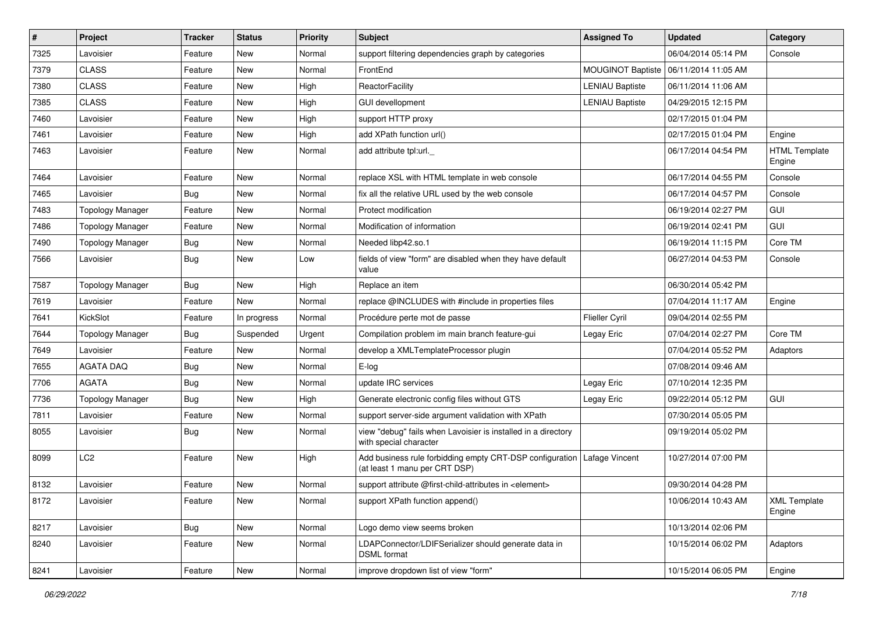| $\vert$ # | Project                 | <b>Tracker</b> | <b>Status</b> | <b>Priority</b> | <b>Subject</b>                                                                            | <b>Assigned To</b>       | <b>Updated</b>      | Category                       |
|-----------|-------------------------|----------------|---------------|-----------------|-------------------------------------------------------------------------------------------|--------------------------|---------------------|--------------------------------|
| 7325      | Lavoisier               | Feature        | New           | Normal          | support filtering dependencies graph by categories                                        |                          | 06/04/2014 05:14 PM | Console                        |
| 7379      | <b>CLASS</b>            | Feature        | <b>New</b>    | Normal          | FrontEnd                                                                                  | <b>MOUGINOT Baptiste</b> | 06/11/2014 11:05 AM |                                |
| 7380      | <b>CLASS</b>            | Feature        | New           | High            | ReactorFacility                                                                           | <b>LENIAU Baptiste</b>   | 06/11/2014 11:06 AM |                                |
| 7385      | <b>CLASS</b>            | Feature        | New           | High            | <b>GUI devellopment</b>                                                                   | <b>LENIAU Baptiste</b>   | 04/29/2015 12:15 PM |                                |
| 7460      | Lavoisier               | Feature        | <b>New</b>    | High            | support HTTP proxy                                                                        |                          | 02/17/2015 01:04 PM |                                |
| 7461      | Lavoisier               | Feature        | New           | High            | add XPath function url()                                                                  |                          | 02/17/2015 01:04 PM | Engine                         |
| 7463      | Lavoisier               | Feature        | New           | Normal          | add attribute tpl:url._                                                                   |                          | 06/17/2014 04:54 PM | <b>HTML Template</b><br>Engine |
| 7464      | Lavoisier               | Feature        | <b>New</b>    | Normal          | replace XSL with HTML template in web console                                             |                          | 06/17/2014 04:55 PM | Console                        |
| 7465      | Lavoisier               | <b>Bug</b>     | <b>New</b>    | Normal          | fix all the relative URL used by the web console                                          |                          | 06/17/2014 04:57 PM | Console                        |
| 7483      | <b>Topology Manager</b> | Feature        | <b>New</b>    | Normal          | Protect modification                                                                      |                          | 06/19/2014 02:27 PM | GUI                            |
| 7486      | <b>Topology Manager</b> | Feature        | New           | Normal          | Modification of information                                                               |                          | 06/19/2014 02:41 PM | GUI                            |
| 7490      | <b>Topology Manager</b> | <b>Bug</b>     | <b>New</b>    | Normal          | Needed libp42.so.1                                                                        |                          | 06/19/2014 11:15 PM | Core TM                        |
| 7566      | Lavoisier               | Bug            | <b>New</b>    | Low             | fields of view "form" are disabled when they have default<br>value                        |                          | 06/27/2014 04:53 PM | Console                        |
| 7587      | <b>Topology Manager</b> | <b>Bug</b>     | <b>New</b>    | High            | Replace an item                                                                           |                          | 06/30/2014 05:42 PM |                                |
| 7619      | Lavoisier               | Feature        | <b>New</b>    | Normal          | replace @INCLUDES with #include in properties files                                       |                          | 07/04/2014 11:17 AM | Engine                         |
| 7641      | KickSlot                | Feature        | In progress   | Normal          | Procédure perte mot de passe                                                              | Flieller Cyril           | 09/04/2014 02:55 PM |                                |
| 7644      | <b>Topology Manager</b> | Bug            | Suspended     | Urgent          | Compilation problem im main branch feature-gui                                            | Legay Eric               | 07/04/2014 02:27 PM | Core TM                        |
| 7649      | Lavoisier               | Feature        | <b>New</b>    | Normal          | develop a XMLTemplateProcessor plugin                                                     |                          | 07/04/2014 05:52 PM | Adaptors                       |
| 7655      | <b>AGATA DAQ</b>        | <b>Bug</b>     | <b>New</b>    | Normal          | E-log                                                                                     |                          | 07/08/2014 09:46 AM |                                |
| 7706      | <b>AGATA</b>            | Bug            | <b>New</b>    | Normal          | update IRC services                                                                       | Legay Eric               | 07/10/2014 12:35 PM |                                |
| 7736      | <b>Topology Manager</b> | <b>Bug</b>     | <b>New</b>    | High            | Generate electronic config files without GTS                                              | Legay Eric               | 09/22/2014 05:12 PM | GUI                            |
| 7811      | Lavoisier               | Feature        | <b>New</b>    | Normal          | support server-side argument validation with XPath                                        |                          | 07/30/2014 05:05 PM |                                |
| 8055      | Lavoisier               | Bug            | New           | Normal          | view "debug" fails when Lavoisier is installed in a directory<br>with special character   |                          | 09/19/2014 05:02 PM |                                |
| 8099      | LC <sub>2</sub>         | Feature        | <b>New</b>    | High            | Add business rule forbidding empty CRT-DSP configuration<br>(at least 1 manu per CRT DSP) | Lafage Vincent           | 10/27/2014 07:00 PM |                                |
| 8132      | Lavoisier               | Feature        | <b>New</b>    | Normal          | support attribute @first-child-attributes in <element></element>                          |                          | 09/30/2014 04:28 PM |                                |
| 8172      | Lavoisier               | Feature        | New           | Normal          | support XPath function append()                                                           |                          | 10/06/2014 10:43 AM | <b>XML Template</b><br>Engine  |
| 8217      | Lavoisier               | <b>Bug</b>     | New           | Normal          | Logo demo view seems broken                                                               |                          | 10/13/2014 02:06 PM |                                |
| 8240      | Lavoisier               | Feature        | New           | Normal          | LDAPConnector/LDIFSerializer should generate data in<br>DSML format                       |                          | 10/15/2014 06:02 PM | Adaptors                       |
| 8241      | Lavoisier               | Feature        | New           | Normal          | improve dropdown list of view "form"                                                      |                          | 10/15/2014 06:05 PM | Engine                         |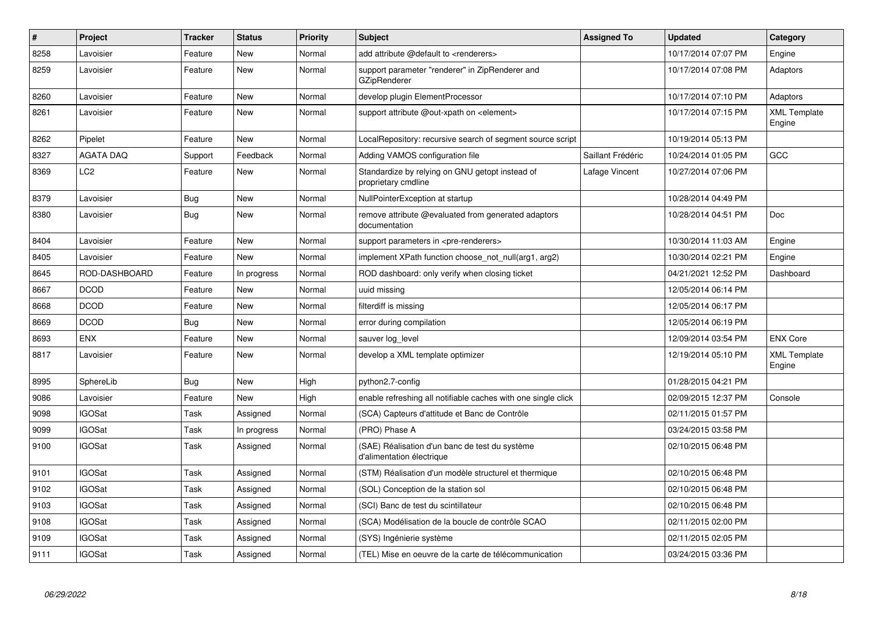| $\pmb{\#}$ | <b>Project</b>   | <b>Tracker</b> | <b>Status</b> | <b>Priority</b> | <b>Subject</b>                                                              | <b>Assigned To</b> | <b>Updated</b>      | Category                      |
|------------|------------------|----------------|---------------|-----------------|-----------------------------------------------------------------------------|--------------------|---------------------|-------------------------------|
| 8258       | Lavoisier        | Feature        | New           | Normal          | add attribute @default to <renderers></renderers>                           |                    | 10/17/2014 07:07 PM | Engine                        |
| 8259       | Lavoisier        | Feature        | New           | Normal          | support parameter "renderer" in ZipRenderer and<br><b>GZipRenderer</b>      |                    | 10/17/2014 07:08 PM | Adaptors                      |
| 8260       | Lavoisier        | Feature        | New           | Normal          | develop plugin ElementProcessor                                             |                    | 10/17/2014 07:10 PM | Adaptors                      |
| 8261       | Lavoisier        | Feature        | New           | Normal          | support attribute @out-xpath on <element></element>                         |                    | 10/17/2014 07:15 PM | <b>XML Template</b><br>Engine |
| 8262       | Pipelet          | Feature        | New           | Normal          | LocalRepository: recursive search of segment source script                  |                    | 10/19/2014 05:13 PM |                               |
| 8327       | <b>AGATA DAQ</b> | Support        | Feedback      | Normal          | Adding VAMOS configuration file                                             | Saillant Frédéric  | 10/24/2014 01:05 PM | GCC                           |
| 8369       | LC2              | Feature        | New           | Normal          | Standardize by relying on GNU getopt instead of<br>proprietary cmdline      | Lafage Vincent     | 10/27/2014 07:06 PM |                               |
| 8379       | Lavoisier        | Bug            | New           | Normal          | NullPointerException at startup                                             |                    | 10/28/2014 04:49 PM |                               |
| 8380       | Lavoisier        | <b>Bug</b>     | New           | Normal          | remove attribute @evaluated from generated adaptors<br>documentation        |                    | 10/28/2014 04:51 PM | <b>Doc</b>                    |
| 8404       | Lavoisier        | Feature        | New           | Normal          | support parameters in <pre-renderers></pre-renderers>                       |                    | 10/30/2014 11:03 AM | Engine                        |
| 8405       | Lavoisier        | Feature        | New           | Normal          | implement XPath function choose not null(arg1, arg2)                        |                    | 10/30/2014 02:21 PM | Engine                        |
| 8645       | ROD-DASHBOARD    | Feature        | In progress   | Normal          | ROD dashboard: only verify when closing ticket                              |                    | 04/21/2021 12:52 PM | Dashboard                     |
| 8667       | <b>DCOD</b>      | Feature        | New           | Normal          | uuid missing                                                                |                    | 12/05/2014 06:14 PM |                               |
| 8668       | <b>DCOD</b>      | Feature        | <b>New</b>    | Normal          | filterdiff is missing                                                       |                    | 12/05/2014 06:17 PM |                               |
| 8669       | <b>DCOD</b>      | <b>Bug</b>     | New           | Normal          | error during compilation                                                    |                    | 12/05/2014 06:19 PM |                               |
| 8693       | <b>ENX</b>       | Feature        | <b>New</b>    | Normal          | sauver log level                                                            |                    | 12/09/2014 03:54 PM | <b>ENX Core</b>               |
| 8817       | Lavoisier        | Feature        | New           | Normal          | develop a XML template optimizer                                            |                    | 12/19/2014 05:10 PM | <b>XML Template</b><br>Engine |
| 8995       | SphereLib        | <b>Bug</b>     | <b>New</b>    | High            | python2.7-config                                                            |                    | 01/28/2015 04:21 PM |                               |
| 9086       | Lavoisier        | Feature        | <b>New</b>    | High            | enable refreshing all notifiable caches with one single click               |                    | 02/09/2015 12:37 PM | Console                       |
| 9098       | <b>IGOSat</b>    | Task           | Assigned      | Normal          | (SCA) Capteurs d'attitude et Banc de Contrôle                               |                    | 02/11/2015 01:57 PM |                               |
| 9099       | <b>IGOSat</b>    | Task           | In progress   | Normal          | (PRO) Phase A                                                               |                    | 03/24/2015 03:58 PM |                               |
| 9100       | <b>IGOSat</b>    | Task           | Assigned      | Normal          | (SAE) Réalisation d'un banc de test du système<br>d'alimentation électrique |                    | 02/10/2015 06:48 PM |                               |
| 9101       | <b>IGOSat</b>    | Task           | Assigned      | Normal          | (STM) Réalisation d'un modèle structurel et thermique                       |                    | 02/10/2015 06:48 PM |                               |
| 9102       | <b>IGOSat</b>    | Task           | Assigned      | Normal          | (SOL) Conception de la station sol                                          |                    | 02/10/2015 06:48 PM |                               |
| 9103       | <b>IGOSat</b>    | Task           | Assigned      | Normal          | (SCI) Banc de test du scintillateur                                         |                    | 02/10/2015 06:48 PM |                               |
| 9108       | <b>IGOSat</b>    | Task           | Assigned      | Normal          | (SCA) Modélisation de la boucle de contrôle SCAO                            |                    | 02/11/2015 02:00 PM |                               |
| 9109       | <b>IGOSat</b>    | Task           | Assigned      | Normal          | (SYS) Ingénierie système                                                    |                    | 02/11/2015 02:05 PM |                               |
| 9111       | <b>IGOSat</b>    | Task           | Assigned      | Normal          | (TEL) Mise en oeuvre de la carte de télécommunication                       |                    | 03/24/2015 03:36 PM |                               |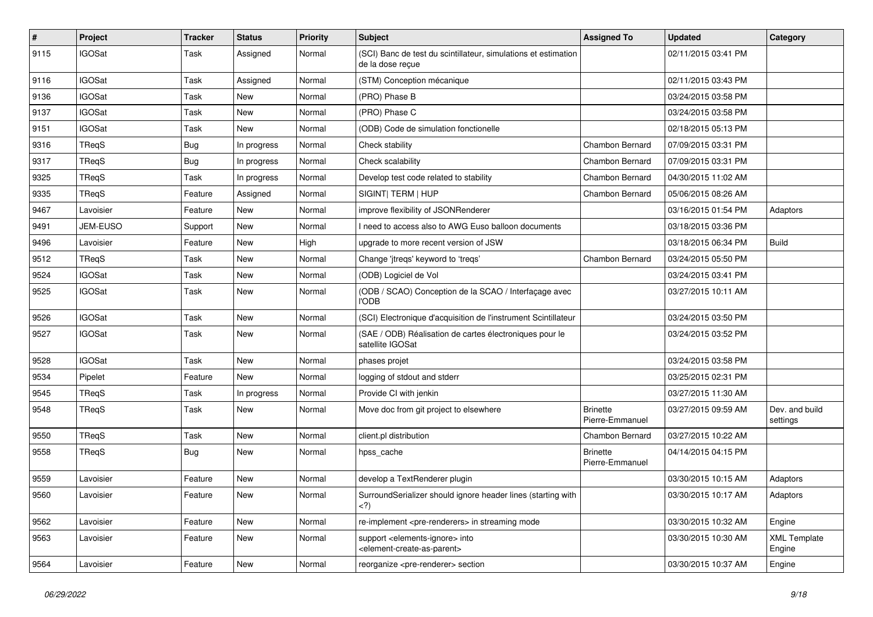| $\vert$ # | Project       | <b>Tracker</b> | <b>Status</b> | <b>Priority</b> | <b>Subject</b>                                                                                                                 | <b>Assigned To</b>                 | <b>Updated</b>      | Category                      |
|-----------|---------------|----------------|---------------|-----------------|--------------------------------------------------------------------------------------------------------------------------------|------------------------------------|---------------------|-------------------------------|
| 9115      | <b>IGOSat</b> | Task           | Assigned      | Normal          | (SCI) Banc de test du scintillateur, simulations et estimation<br>de la dose recue                                             |                                    | 02/11/2015 03:41 PM |                               |
| 9116      | <b>IGOSat</b> | Task           | Assigned      | Normal          | (STM) Conception mécanique                                                                                                     |                                    | 02/11/2015 03:43 PM |                               |
| 9136      | <b>IGOSat</b> | Task           | New           | Normal          | (PRO) Phase B                                                                                                                  |                                    | 03/24/2015 03:58 PM |                               |
| 9137      | <b>IGOSat</b> | Task           | New           | Normal          | (PRO) Phase C                                                                                                                  |                                    | 03/24/2015 03:58 PM |                               |
| 9151      | <b>IGOSat</b> | Task           | New           | Normal          | (ODB) Code de simulation fonctionelle                                                                                          |                                    | 02/18/2015 05:13 PM |                               |
| 9316      | TReqS         | <b>Bug</b>     | In progress   | Normal          | Check stability                                                                                                                | Chambon Bernard                    | 07/09/2015 03:31 PM |                               |
| 9317      | TReqS         | <b>Bug</b>     | In progress   | Normal          | Check scalability                                                                                                              | Chambon Bernard                    | 07/09/2015 03:31 PM |                               |
| 9325      | TReqS         | Task           | In progress   | Normal          | Develop test code related to stability                                                                                         | Chambon Bernard                    | 04/30/2015 11:02 AM |                               |
| 9335      | TReqS         | Feature        | Assigned      | Normal          | SIGINT  TERM   HUP                                                                                                             | Chambon Bernard                    | 05/06/2015 08:26 AM |                               |
| 9467      | Lavoisier     | Feature        | New           | Normal          | improve flexibility of JSONRenderer                                                                                            |                                    | 03/16/2015 01:54 PM | Adaptors                      |
| 9491      | JEM-EUSO      | Support        | New           | Normal          | need to access also to AWG Euso balloon documents                                                                              |                                    | 03/18/2015 03:36 PM |                               |
| 9496      | Lavoisier     | Feature        | New           | High            | upgrade to more recent version of JSW                                                                                          |                                    | 03/18/2015 06:34 PM | <b>Build</b>                  |
| 9512      | TReqS         | Task           | New           | Normal          | Change 'jtreqs' keyword to 'treqs'                                                                                             | Chambon Bernard                    | 03/24/2015 05:50 PM |                               |
| 9524      | <b>IGOSat</b> | Task           | New           | Normal          | (ODB) Logiciel de Vol                                                                                                          |                                    | 03/24/2015 03:41 PM |                               |
| 9525      | <b>IGOSat</b> | Task           | New           | Normal          | (ODB / SCAO) Conception de la SCAO / Interfaçage avec<br><b>I'ODB</b>                                                          |                                    | 03/27/2015 10:11 AM |                               |
| 9526      | <b>IGOSat</b> | Task           | New           | Normal          | (SCI) Electronique d'acquisition de l'instrument Scintillateur                                                                 |                                    | 03/24/2015 03:50 PM |                               |
| 9527      | <b>IGOSat</b> | Task           | New           | Normal          | (SAE / ODB) Réalisation de cartes électroniques pour le<br>satellite IGOSat                                                    |                                    | 03/24/2015 03:52 PM |                               |
| 9528      | <b>IGOSat</b> | Task           | New           | Normal          | phases projet                                                                                                                  |                                    | 03/24/2015 03:58 PM |                               |
| 9534      | Pipelet       | Feature        | New           | Normal          | logging of stdout and stderr                                                                                                   |                                    | 03/25/2015 02:31 PM |                               |
| 9545      | TReqS         | Task           | In progress   | Normal          | Provide CI with jenkin                                                                                                         |                                    | 03/27/2015 11:30 AM |                               |
| 9548      | TReqS         | Task           | New           | Normal          | Move doc from git project to elsewhere                                                                                         | <b>Brinette</b><br>Pierre-Emmanuel | 03/27/2015 09:59 AM | Dev. and build<br>settings    |
| 9550      | TReqS         | Task           | New           | Normal          | client.pl distribution                                                                                                         | Chambon Bernard                    | 03/27/2015 10:22 AM |                               |
| 9558      | TReqS         | <b>Bug</b>     | New           | Normal          | hpss_cache                                                                                                                     | <b>Brinette</b><br>Pierre-Emmanuel | 04/14/2015 04:15 PM |                               |
| 9559      | Lavoisier     | Feature        | <b>New</b>    | Normal          | develop a TextRenderer plugin                                                                                                  |                                    | 03/30/2015 10:15 AM | Adaptors                      |
| 9560      | Lavoisier     | Feature        | New           | Normal          | SurroundSerializer should ignore header lines (starting with<br>)</td <td></td> <td>03/30/2015 10:17 AM</td> <td>Adaptors</td> |                                    | 03/30/2015 10:17 AM | Adaptors                      |
| 9562      | Lavoisier     | Feature        | New           | Normal          | re-implement <pre-renderers> in streaming mode</pre-renderers>                                                                 |                                    | 03/30/2015 10:32 AM | Engine                        |
| 9563      | Lavoisier     | Feature        | New           | Normal          | support <elements-ignore> into<br/><element-create-as-parent></element-create-as-parent></elements-ignore>                     |                                    | 03/30/2015 10:30 AM | <b>XML Template</b><br>Engine |
| 9564      | Lavoisier     | Feature        | New           | Normal          | reorganize <pre-renderer> section</pre-renderer>                                                                               |                                    | 03/30/2015 10:37 AM | Engine                        |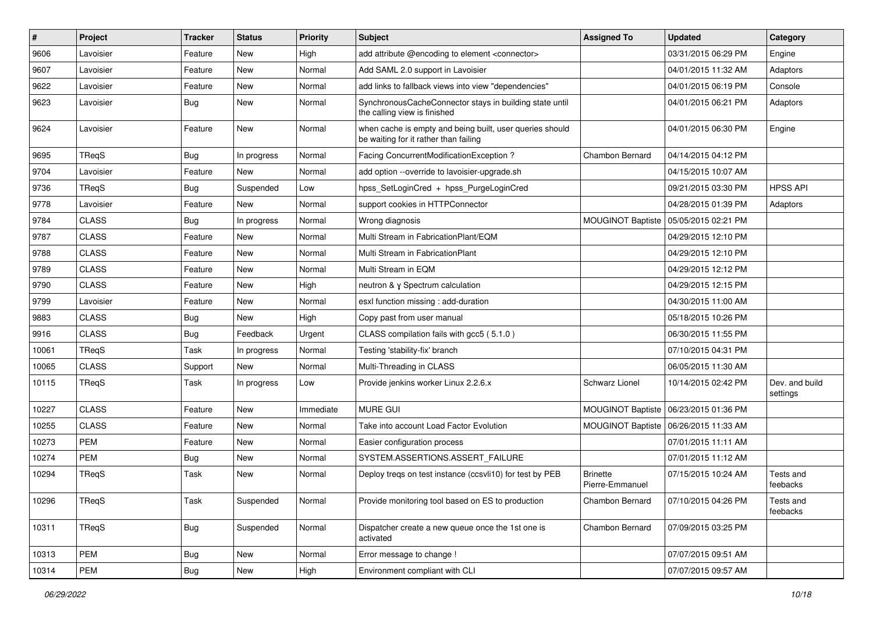| #     | Project      | <b>Tracker</b> | <b>Status</b> | <b>Priority</b> | Subject                                                                                           | <b>Assigned To</b>                 | <b>Updated</b>                          | Category                   |
|-------|--------------|----------------|---------------|-----------------|---------------------------------------------------------------------------------------------------|------------------------------------|-----------------------------------------|----------------------------|
| 9606  | Lavoisier    | Feature        | New           | High            | add attribute @encoding to element <connector></connector>                                        |                                    | 03/31/2015 06:29 PM                     | Engine                     |
| 9607  | Lavoisier    | Feature        | <b>New</b>    | Normal          | Add SAML 2.0 support in Lavoisier                                                                 |                                    | 04/01/2015 11:32 AM                     | Adaptors                   |
| 9622  | Lavoisier    | Feature        | New           | Normal          | add links to fallback views into view "dependencies"                                              |                                    | 04/01/2015 06:19 PM                     | Console                    |
| 9623  | Lavoisier    | <b>Bug</b>     | New           | Normal          | SynchronousCacheConnector stays in building state until<br>the calling view is finished           |                                    | 04/01/2015 06:21 PM                     | Adaptors                   |
| 9624  | Lavoisier    | Feature        | New           | Normal          | when cache is empty and being built, user queries should<br>be waiting for it rather than failing |                                    | 04/01/2015 06:30 PM                     | Engine                     |
| 9695  | TReqS        | Bug            | In progress   | Normal          | Facing ConcurrentModificationException?                                                           | Chambon Bernard                    | 04/14/2015 04:12 PM                     |                            |
| 9704  | Lavoisier    | Feature        | <b>New</b>    | Normal          | add option --override to lavoisier-upgrade.sh                                                     |                                    | 04/15/2015 10:07 AM                     |                            |
| 9736  | TReqS        | Bug            | Suspended     | Low             | hpss_SetLoginCred + hpss_PurgeLoginCred                                                           |                                    | 09/21/2015 03:30 PM                     | <b>HPSS API</b>            |
| 9778  | Lavoisier    | Feature        | New           | Normal          | support cookies in HTTPConnector                                                                  |                                    | 04/28/2015 01:39 PM                     | Adaptors                   |
| 9784  | <b>CLASS</b> | Bug            | In progress   | Normal          | Wrong diagnosis                                                                                   | MOUGINOT Baptiste                  | 05/05/2015 02:21 PM                     |                            |
| 9787  | <b>CLASS</b> | Feature        | <b>New</b>    | Normal          | Multi Stream in FabricationPlant/EQM                                                              |                                    | 04/29/2015 12:10 PM                     |                            |
| 9788  | <b>CLASS</b> | Feature        | New           | Normal          | Multi Stream in FabricationPlant                                                                  |                                    | 04/29/2015 12:10 PM                     |                            |
| 9789  | <b>CLASS</b> | Feature        | <b>New</b>    | Normal          | Multi Stream in EQM                                                                               |                                    | 04/29/2015 12:12 PM                     |                            |
| 9790  | <b>CLASS</b> | Feature        | <b>New</b>    | High            | neutron & γ Spectrum calculation                                                                  |                                    | 04/29/2015 12:15 PM                     |                            |
| 9799  | Lavoisier    | Feature        | New           | Normal          | esxl function missing : add-duration                                                              |                                    | 04/30/2015 11:00 AM                     |                            |
| 9883  | <b>CLASS</b> | <b>Bug</b>     | <b>New</b>    | High            | Copy past from user manual                                                                        |                                    | 05/18/2015 10:26 PM                     |                            |
| 9916  | <b>CLASS</b> | <b>Bug</b>     | Feedback      | Urgent          | CLASS compilation fails with gcc5 (5.1.0)                                                         |                                    | 06/30/2015 11:55 PM                     |                            |
| 10061 | TReqS        | Task           | In progress   | Normal          | Testing 'stability-fix' branch                                                                    |                                    | 07/10/2015 04:31 PM                     |                            |
| 10065 | <b>CLASS</b> | Support        | <b>New</b>    | Normal          | Multi-Threading in CLASS                                                                          |                                    | 06/05/2015 11:30 AM                     |                            |
| 10115 | TReqS        | Task           | In progress   | Low             | Provide jenkins worker Linux 2.2.6.x                                                              | Schwarz Lionel                     | 10/14/2015 02:42 PM                     | Dev. and build<br>settings |
| 10227 | <b>CLASS</b> | Feature        | <b>New</b>    | Immediate       | <b>MURE GUI</b>                                                                                   |                                    | MOUGINOT Baptiste   06/23/2015 01:36 PM |                            |
| 10255 | <b>CLASS</b> | Feature        | New           | Normal          | Take into account Load Factor Evolution                                                           | <b>MOUGINOT Baptiste</b>           | 06/26/2015 11:33 AM                     |                            |
| 10273 | <b>PEM</b>   | Feature        | <b>New</b>    | Normal          | Easier configuration process                                                                      |                                    | 07/01/2015 11:11 AM                     |                            |
| 10274 | <b>PEM</b>   | <b>Bug</b>     | <b>New</b>    | Normal          | SYSTEM.ASSERTIONS.ASSERT_FAILURE                                                                  |                                    | 07/01/2015 11:12 AM                     |                            |
| 10294 | TReqS        | Task           | New           | Normal          | Deploy tregs on test instance (ccsvli10) for test by PEB                                          | <b>Brinette</b><br>Pierre-Emmanuel | 07/15/2015 10:24 AM                     | Tests and<br>feebacks      |
| 10296 | TReqS        | Task           | Suspended     | Normal          | Provide monitoring tool based on ES to production                                                 | Chambon Bernard                    | 07/10/2015 04:26 PM                     | Tests and<br>feebacks      |
| 10311 | TReqS        | Bug            | Suspended     | Normal          | Dispatcher create a new queue once the 1st one is<br>activated                                    | Chambon Bernard                    | 07/09/2015 03:25 PM                     |                            |
| 10313 | PEM          | <b>Bug</b>     | New           | Normal          | Error message to change !                                                                         |                                    | 07/07/2015 09:51 AM                     |                            |
| 10314 | PEM          | Bug            | New           | High            | Environment compliant with CLI                                                                    |                                    | 07/07/2015 09:57 AM                     |                            |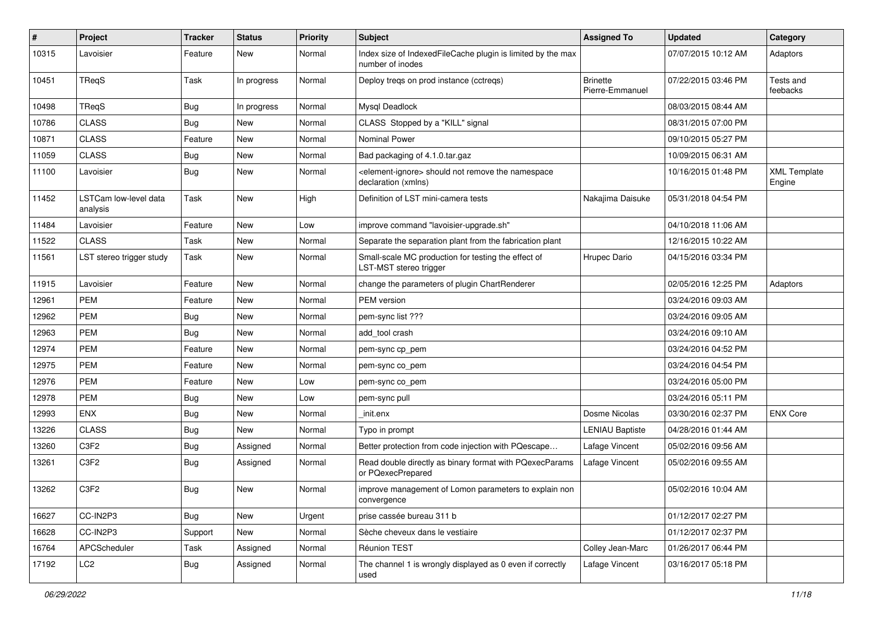| $\sharp$ | Project                           | <b>Tracker</b> | <b>Status</b> | <b>Priority</b> | <b>Subject</b>                                                                            | <b>Assigned To</b>                 | <b>Updated</b>      | Category                      |
|----------|-----------------------------------|----------------|---------------|-----------------|-------------------------------------------------------------------------------------------|------------------------------------|---------------------|-------------------------------|
| 10315    | Lavoisier                         | Feature        | New           | Normal          | Index size of IndexedFileCache plugin is limited by the max<br>number of inodes           |                                    | 07/07/2015 10:12 AM | Adaptors                      |
| 10451    | TReqS                             | Task           | In progress   | Normal          | Deploy tregs on prod instance (cctregs)                                                   | <b>Brinette</b><br>Pierre-Emmanuel | 07/22/2015 03:46 PM | Tests and<br>feebacks         |
| 10498    | TRegS                             | <b>Bug</b>     | In progress   | Normal          | Mysql Deadlock                                                                            |                                    | 08/03/2015 08:44 AM |                               |
| 10786    | <b>CLASS</b>                      | <b>Bug</b>     | New           | Normal          | CLASS Stopped by a "KILL" signal                                                          |                                    | 08/31/2015 07:00 PM |                               |
| 10871    | <b>CLASS</b>                      | Feature        | New           | Normal          | Nominal Power                                                                             |                                    | 09/10/2015 05:27 PM |                               |
| 11059    | <b>CLASS</b>                      | <b>Bug</b>     | <b>New</b>    | Normal          | Bad packaging of 4.1.0.tar.gaz                                                            |                                    | 10/09/2015 06:31 AM |                               |
| 11100    | Lavoisier                         | <b>Bug</b>     | New           | Normal          | <element-ignore> should not remove the namespace<br/>declaration (xmlns)</element-ignore> |                                    | 10/16/2015 01:48 PM | <b>XML Template</b><br>Engine |
| 11452    | LSTCam low-level data<br>analysis | Task           | New           | High            | Definition of LST mini-camera tests                                                       | Nakajima Daisuke                   | 05/31/2018 04:54 PM |                               |
| 11484    | Lavoisier                         | Feature        | <b>New</b>    | Low             | improve command "lavoisier-upgrade.sh"                                                    |                                    | 04/10/2018 11:06 AM |                               |
| 11522    | <b>CLASS</b>                      | Task           | New           | Normal          | Separate the separation plant from the fabrication plant                                  |                                    | 12/16/2015 10:22 AM |                               |
| 11561    | LST stereo trigger study          | Task           | New           | Normal          | Small-scale MC production for testing the effect of<br>LST-MST stereo trigger             | Hrupec Dario                       | 04/15/2016 03:34 PM |                               |
| 11915    | Lavoisier                         | Feature        | New           | Normal          | change the parameters of plugin ChartRenderer                                             |                                    | 02/05/2016 12:25 PM | Adaptors                      |
| 12961    | PEM                               | Feature        | <b>New</b>    | Normal          | PEM version                                                                               |                                    | 03/24/2016 09:03 AM |                               |
| 12962    | <b>PEM</b>                        | <b>Bug</b>     | New           | Normal          | pem-sync list ???                                                                         |                                    | 03/24/2016 09:05 AM |                               |
| 12963    | <b>PEM</b>                        | <b>Bug</b>     | <b>New</b>    | Normal          | add tool crash                                                                            |                                    | 03/24/2016 09:10 AM |                               |
| 12974    | PEM                               | Feature        | New           | Normal          | pem-sync cp_pem                                                                           |                                    | 03/24/2016 04:52 PM |                               |
| 12975    | <b>PEM</b>                        | Feature        | New           | Normal          | pem-sync co_pem                                                                           |                                    | 03/24/2016 04:54 PM |                               |
| 12976    | PEM                               | Feature        | New           | Low             | pem-sync co_pem                                                                           |                                    | 03/24/2016 05:00 PM |                               |
| 12978    | <b>PEM</b>                        | <b>Bug</b>     | New           | Low             | pem-sync pull                                                                             |                                    | 03/24/2016 05:11 PM |                               |
| 12993    | ENX                               | <b>Bug</b>     | New           | Normal          | init.enx                                                                                  | Dosme Nicolas                      | 03/30/2016 02:37 PM | <b>ENX Core</b>               |
| 13226    | <b>CLASS</b>                      | <b>Bug</b>     | <b>New</b>    | Normal          | Typo in prompt                                                                            | <b>LENIAU Baptiste</b>             | 04/28/2016 01:44 AM |                               |
| 13260    | C3F2                              | <b>Bug</b>     | Assigned      | Normal          | Better protection from code injection with PQescape                                       | Lafage Vincent                     | 05/02/2016 09:56 AM |                               |
| 13261    | C3F2                              | <b>Bug</b>     | Assigned      | Normal          | Read double directly as binary format with PQexecParams<br>or PQexecPrepared              | Lafage Vincent                     | 05/02/2016 09:55 AM |                               |
| 13262    | C <sub>3</sub> F <sub>2</sub>     | Bug            | New           | Normal          | improve management of Lomon parameters to explain non<br>convergence                      |                                    | 05/02/2016 10:04 AM |                               |
| 16627    | CC-IN2P3                          | Bug            | New           | Urgent          | prise cassée bureau 311 b                                                                 |                                    | 01/12/2017 02:27 PM |                               |
| 16628    | CC-IN2P3                          | Support        | New           | Normal          | Sèche cheveux dans le vestiaire                                                           |                                    | 01/12/2017 02:37 PM |                               |
| 16764    | APCScheduler                      | Task           | Assigned      | Normal          | Réunion TEST                                                                              | Colley Jean-Marc                   | 01/26/2017 06:44 PM |                               |
| 17192    | LC <sub>2</sub>                   | <b>Bug</b>     | Assigned      | Normal          | The channel 1 is wrongly displayed as 0 even if correctly<br>used                         | Lafage Vincent                     | 03/16/2017 05:18 PM |                               |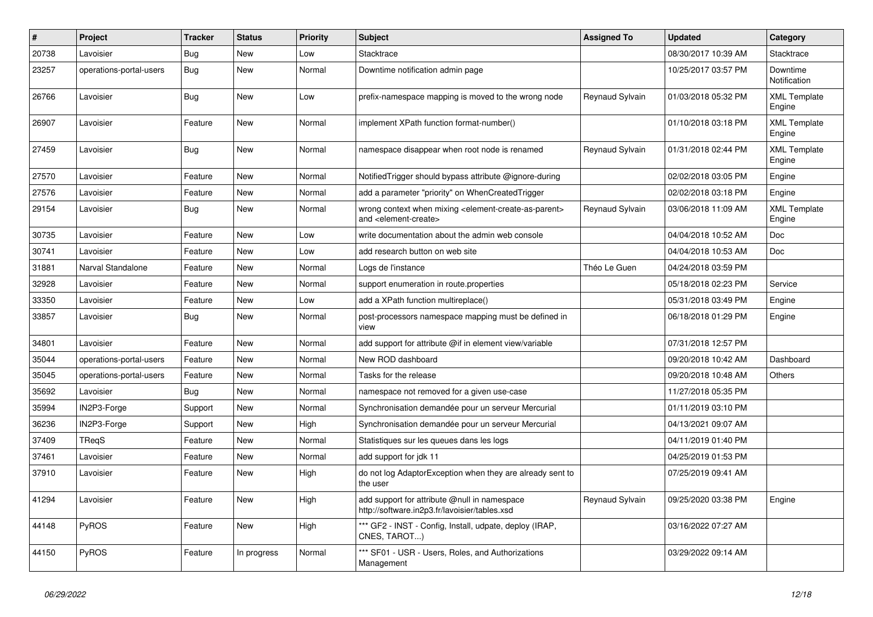| $\pmb{\#}$ | Project                 | <b>Tracker</b> | <b>Status</b> | <b>Priority</b> | <b>Subject</b>                                                                                                            | <b>Assigned To</b> | <b>Updated</b>      | Category                      |
|------------|-------------------------|----------------|---------------|-----------------|---------------------------------------------------------------------------------------------------------------------------|--------------------|---------------------|-------------------------------|
| 20738      | Lavoisier               | Bug            | <b>New</b>    | Low             | Stacktrace                                                                                                                |                    | 08/30/2017 10:39 AM | Stacktrace                    |
| 23257      | operations-portal-users | <b>Bug</b>     | <b>New</b>    | Normal          | Downtime notification admin page                                                                                          |                    | 10/25/2017 03:57 PM | Downtime<br>Notification      |
| 26766      | Lavoisier               | <b>Bug</b>     | <b>New</b>    | Low             | prefix-namespace mapping is moved to the wrong node                                                                       | Reynaud Sylvain    | 01/03/2018 05:32 PM | <b>XML Template</b><br>Engine |
| 26907      | Lavoisier               | Feature        | <b>New</b>    | Normal          | implement XPath function format-number()                                                                                  |                    | 01/10/2018 03:18 PM | <b>XML Template</b><br>Engine |
| 27459      | Lavoisier               | <b>Bug</b>     | <b>New</b>    | Normal          | namespace disappear when root node is renamed                                                                             | Reynaud Sylvain    | 01/31/2018 02:44 PM | <b>XML Template</b><br>Engine |
| 27570      | Lavoisier               | Feature        | <b>New</b>    | Normal          | Notified Trigger should bypass attribute @ignore-during                                                                   |                    | 02/02/2018 03:05 PM | Engine                        |
| 27576      | Lavoisier               | Feature        | <b>New</b>    | Normal          | add a parameter "priority" on WhenCreatedTrigger                                                                          |                    | 02/02/2018 03:18 PM | Engine                        |
| 29154      | Lavoisier               | <b>Bug</b>     | <b>New</b>    | Normal          | wrong context when mixing <element-create-as-parent><br/>and <element-create></element-create></element-create-as-parent> | Reynaud Sylvain    | 03/06/2018 11:09 AM | <b>XML Template</b><br>Engine |
| 30735      | Lavoisier               | Feature        | <b>New</b>    | Low             | write documentation about the admin web console                                                                           |                    | 04/04/2018 10:52 AM | Doc                           |
| 30741      | Lavoisier               | Feature        | <b>New</b>    | Low             | add research button on web site                                                                                           |                    | 04/04/2018 10:53 AM | <b>Doc</b>                    |
| 31881      | Narval Standalone       | Feature        | New           | Normal          | Logs de l'instance                                                                                                        | Théo Le Guen       | 04/24/2018 03:59 PM |                               |
| 32928      | Lavoisier               | Feature        | <b>New</b>    | Normal          | support enumeration in route properties                                                                                   |                    | 05/18/2018 02:23 PM | Service                       |
| 33350      | Lavoisier               | Feature        | New           | Low             | add a XPath function multireplace()                                                                                       |                    | 05/31/2018 03:49 PM | Engine                        |
| 33857      | Lavoisier               | Bug            | New           | Normal          | post-processors namespace mapping must be defined in<br>view                                                              |                    | 06/18/2018 01:29 PM | Engine                        |
| 34801      | Lavoisier               | Feature        | <b>New</b>    | Normal          | add support for attribute @if in element view/variable                                                                    |                    | 07/31/2018 12:57 PM |                               |
| 35044      | operations-portal-users | Feature        | <b>New</b>    | Normal          | New ROD dashboard                                                                                                         |                    | 09/20/2018 10:42 AM | Dashboard                     |
| 35045      | operations-portal-users | Feature        | New           | Normal          | Tasks for the release                                                                                                     |                    | 09/20/2018 10:48 AM | Others                        |
| 35692      | Lavoisier               | Bug            | <b>New</b>    | Normal          | namespace not removed for a given use-case                                                                                |                    | 11/27/2018 05:35 PM |                               |
| 35994      | IN2P3-Forge             | Support        | New           | Normal          | Synchronisation demandée pour un serveur Mercurial                                                                        |                    | 01/11/2019 03:10 PM |                               |
| 36236      | IN2P3-Forge             | Support        | New           | High            | Synchronisation demandée pour un serveur Mercurial                                                                        |                    | 04/13/2021 09:07 AM |                               |
| 37409      | TReqS                   | Feature        | <b>New</b>    | Normal          | Statistiques sur les queues dans les logs                                                                                 |                    | 04/11/2019 01:40 PM |                               |
| 37461      | Lavoisier               | Feature        | New           | Normal          | add support for jdk 11                                                                                                    |                    | 04/25/2019 01:53 PM |                               |
| 37910      | Lavoisier               | Feature        | New           | High            | do not log AdaptorException when they are already sent to<br>the user                                                     |                    | 07/25/2019 09:41 AM |                               |
| 41294      | Lavoisier               | Feature        | <b>New</b>    | High            | add support for attribute @null in namespace<br>http://software.in2p3.fr/lavoisier/tables.xsd                             | Reynaud Sylvain    | 09/25/2020 03:38 PM | Engine                        |
| 44148      | PyROS                   | Feature        | New           | High            | *** GF2 - INST - Config, Install, udpate, deploy (IRAP,<br>CNES, TAROT)                                                   |                    | 03/16/2022 07:27 AM |                               |
| 44150      | <b>PyROS</b>            | Feature        | In progress   | Normal          | *** SF01 - USR - Users, Roles, and Authorizations<br>Management                                                           |                    | 03/29/2022 09:14 AM |                               |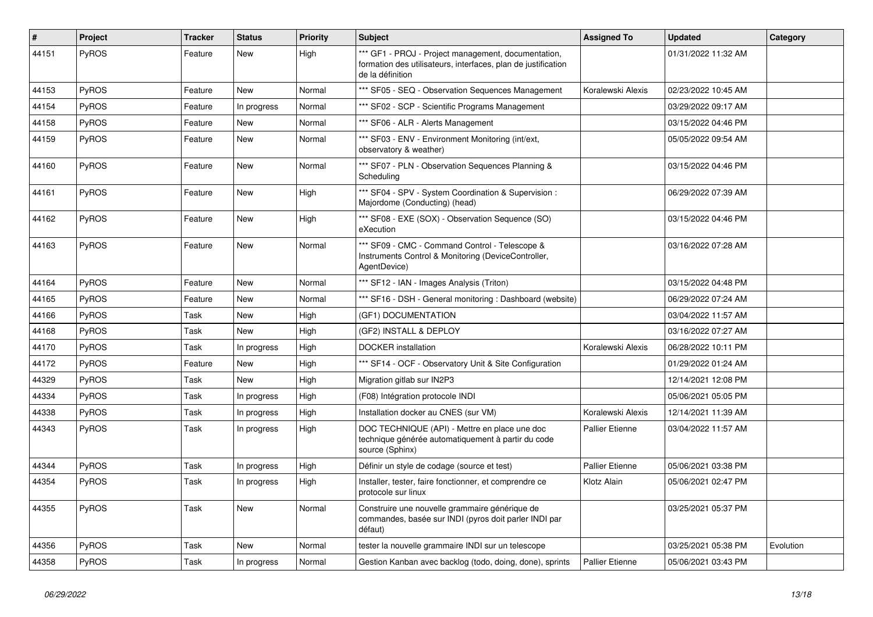| #     | Project      | <b>Tracker</b> | <b>Status</b> | <b>Priority</b> | <b>Subject</b>                                                                                                                           | <b>Assigned To</b>     | <b>Updated</b>      | Category  |
|-------|--------------|----------------|---------------|-----------------|------------------------------------------------------------------------------------------------------------------------------------------|------------------------|---------------------|-----------|
| 44151 | PyROS        | Feature        | <b>New</b>    | High            | *** GF1 - PROJ - Project management, documentation,<br>formation des utilisateurs, interfaces, plan de justification<br>de la définition |                        | 01/31/2022 11:32 AM |           |
| 44153 | PyROS        | Feature        | <b>New</b>    | Normal          | *** SF05 - SEQ - Observation Sequences Management                                                                                        | Koralewski Alexis      | 02/23/2022 10:45 AM |           |
| 44154 | PyROS        | Feature        | In progress   | Normal          | *** SF02 - SCP - Scientific Programs Management                                                                                          |                        | 03/29/2022 09:17 AM |           |
| 44158 | <b>PyROS</b> | Feature        | <b>New</b>    | Normal          | *** SF06 - ALR - Alerts Management                                                                                                       |                        | 03/15/2022 04:46 PM |           |
| 44159 | PyROS        | Feature        | <b>New</b>    | Normal          | *** SF03 - ENV - Environment Monitoring (int/ext,<br>observatory & weather)                                                              |                        | 05/05/2022 09:54 AM |           |
| 44160 | PyROS        | Feature        | <b>New</b>    | Normal          | *** SF07 - PLN - Observation Sequences Planning &<br>Scheduling                                                                          |                        | 03/15/2022 04:46 PM |           |
| 44161 | PyROS        | Feature        | <b>New</b>    | High            | *** SF04 - SPV - System Coordination & Supervision :<br>Majordome (Conducting) (head)                                                    |                        | 06/29/2022 07:39 AM |           |
| 44162 | <b>PyROS</b> | Feature        | <b>New</b>    | High            | *** SF08 - EXE (SOX) - Observation Sequence (SO)<br>eXecution                                                                            |                        | 03/15/2022 04:46 PM |           |
| 44163 | <b>PyROS</b> | Feature        | <b>New</b>    | Normal          | *** SF09 - CMC - Command Control - Telescope &<br>Instruments Control & Monitoring (DeviceController,<br>AgentDevice)                    |                        | 03/16/2022 07:28 AM |           |
| 44164 | PyROS        | Feature        | <b>New</b>    | Normal          | *** SF12 - IAN - Images Analysis (Triton)                                                                                                |                        | 03/15/2022 04:48 PM |           |
| 44165 | PyROS        | Feature        | <b>New</b>    | Normal          | *** SF16 - DSH - General monitoring : Dashboard (website)                                                                                |                        | 06/29/2022 07:24 AM |           |
| 44166 | PyROS        | Task           | <b>New</b>    | High            | (GF1) DOCUMENTATION                                                                                                                      |                        | 03/04/2022 11:57 AM |           |
| 44168 | PyROS        | Task           | <b>New</b>    | High            | (GF2) INSTALL & DEPLOY                                                                                                                   |                        | 03/16/2022 07:27 AM |           |
| 44170 | PyROS        | Task           | In progress   | High            | <b>DOCKER</b> installation                                                                                                               | Koralewski Alexis      | 06/28/2022 10:11 PM |           |
| 44172 | PyROS        | Feature        | <b>New</b>    | High            | *** SF14 - OCF - Observatory Unit & Site Configuration                                                                                   |                        | 01/29/2022 01:24 AM |           |
| 44329 | PyROS        | Task           | <b>New</b>    | High            | Migration gitlab sur IN2P3                                                                                                               |                        | 12/14/2021 12:08 PM |           |
| 44334 | PyROS        | Task           | In progress   | High            | (F08) Intégration protocole INDI                                                                                                         |                        | 05/06/2021 05:05 PM |           |
| 44338 | PyROS        | Task           | In progress   | High            | Installation docker au CNES (sur VM)                                                                                                     | Koralewski Alexis      | 12/14/2021 11:39 AM |           |
| 44343 | <b>PyROS</b> | Task           | In progress   | High            | DOC TECHNIQUE (API) - Mettre en place une doc<br>technique générée automatiquement à partir du code<br>source (Sphinx)                   | <b>Pallier Etienne</b> | 03/04/2022 11:57 AM |           |
| 44344 | PyROS        | Task           | In progress   | High            | Définir un style de codage (source et test)                                                                                              | <b>Pallier Etienne</b> | 05/06/2021 03:38 PM |           |
| 44354 | PyROS        | Task           | In progress   | High            | Installer, tester, faire fonctionner, et comprendre ce<br>protocole sur linux                                                            | Klotz Alain            | 05/06/2021 02:47 PM |           |
| 44355 | <b>PyROS</b> | Task           | <b>New</b>    | Normal          | Construire une nouvelle grammaire générique de<br>commandes, basée sur INDI (pyros doit parler INDI par<br>défaut)                       |                        | 03/25/2021 05:37 PM |           |
| 44356 | PyROS        | Task           | <b>New</b>    | Normal          | tester la nouvelle grammaire INDI sur un telescope                                                                                       |                        | 03/25/2021 05:38 PM | Evolution |
| 44358 | PyROS        | Task           | In progress   | Normal          | Gestion Kanban avec backlog (todo, doing, done), sprints                                                                                 | <b>Pallier Etienne</b> | 05/06/2021 03:43 PM |           |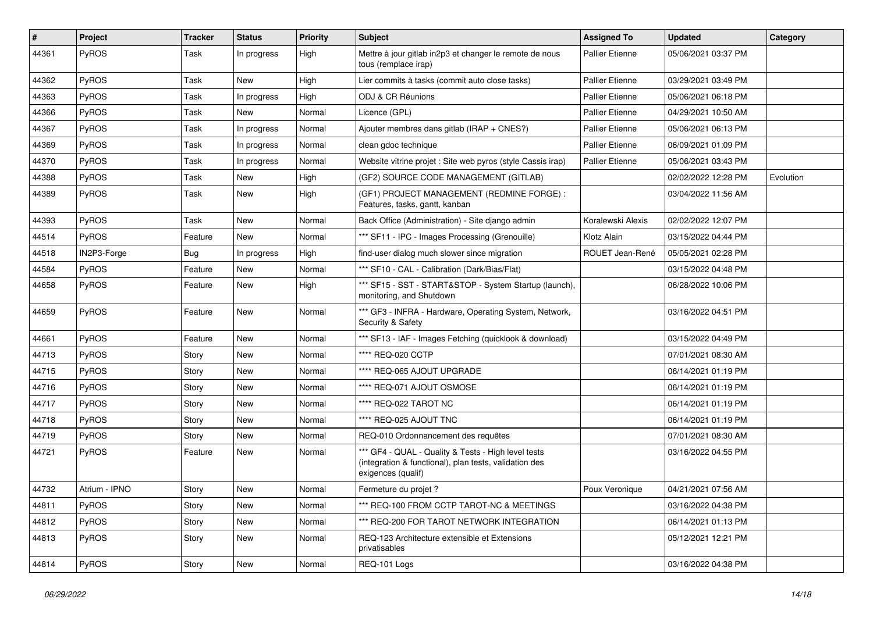| #     | <b>Project</b> | <b>Tracker</b> | <b>Status</b> | <b>Priority</b> | <b>Subject</b>                                                                                                                      | <b>Assigned To</b>     | <b>Updated</b>      | Category  |
|-------|----------------|----------------|---------------|-----------------|-------------------------------------------------------------------------------------------------------------------------------------|------------------------|---------------------|-----------|
| 44361 | PyROS          | Task           | In progress   | High            | Mettre à jour gitlab in2p3 et changer le remote de nous<br>tous (remplace irap)                                                     | Pallier Etienne        | 05/06/2021 03:37 PM |           |
| 44362 | PyROS          | Task           | <b>New</b>    | High            | Lier commits à tasks (commit auto close tasks)                                                                                      | <b>Pallier Etienne</b> | 03/29/2021 03:49 PM |           |
| 44363 | PyROS          | Task           | In progress   | High            | ODJ & CR Réunions                                                                                                                   | <b>Pallier Etienne</b> | 05/06/2021 06:18 PM |           |
| 44366 | PyROS          | Task           | <b>New</b>    | Normal          | Licence (GPL)                                                                                                                       | <b>Pallier Etienne</b> | 04/29/2021 10:50 AM |           |
| 44367 | <b>PyROS</b>   | Task           | In progress   | Normal          | Ajouter membres dans gitlab (IRAP + $CNES$ ?)                                                                                       | <b>Pallier Etienne</b> | 05/06/2021 06:13 PM |           |
| 44369 | PyROS          | Task           | In progress   | Normal          | clean gdoc technique                                                                                                                | <b>Pallier Etienne</b> | 06/09/2021 01:09 PM |           |
| 44370 | PyROS          | Task           | In progress   | Normal          | Website vitrine projet : Site web pyros (style Cassis irap)                                                                         | <b>Pallier Etienne</b> | 05/06/2021 03:43 PM |           |
| 44388 | PyROS          | Task           | New           | High            | (GF2) SOURCE CODE MANAGEMENT (GITLAB)                                                                                               |                        | 02/02/2022 12:28 PM | Evolution |
| 44389 | PyROS          | Task           | New           | High            | (GF1) PROJECT MANAGEMENT (REDMINE FORGE) :<br>Features, tasks, gantt, kanban                                                        |                        | 03/04/2022 11:56 AM |           |
| 44393 | PyROS          | Task           | New           | Normal          | Back Office (Administration) - Site django admin                                                                                    | Koralewski Alexis      | 02/02/2022 12:07 PM |           |
| 44514 | PyROS          | Feature        | New           | Normal          | *** SF11 - IPC - Images Processing (Grenouille)                                                                                     | Klotz Alain            | 03/15/2022 04:44 PM |           |
| 44518 | IN2P3-Forge    | <b>Bug</b>     | In progress   | High            | find-user dialog much slower since migration                                                                                        | ROUET Jean-René        | 05/05/2021 02:28 PM |           |
| 44584 | PyROS          | Feature        | New           | Normal          | *** SF10 - CAL - Calibration (Dark/Bias/Flat)                                                                                       |                        | 03/15/2022 04:48 PM |           |
| 44658 | PyROS          | Feature        | New           | High            | *** SF15 - SST - START&STOP - System Startup (launch),<br>monitoring, and Shutdown                                                  |                        | 06/28/2022 10:06 PM |           |
| 44659 | PyROS          | Feature        | New           | Normal          | *** GF3 - INFRA - Hardware, Operating System, Network,<br>Security & Safety                                                         |                        | 03/16/2022 04:51 PM |           |
| 44661 | PyROS          | Feature        | New           | Normal          | *** SF13 - IAF - Images Fetching (quicklook & download)                                                                             |                        | 03/15/2022 04:49 PM |           |
| 44713 | PyROS          | Story          | New           | Normal          | **** REQ-020 CCTP                                                                                                                   |                        | 07/01/2021 08:30 AM |           |
| 44715 | PyROS          | Story          | New           | Normal          | **** REQ-065 AJOUT UPGRADE                                                                                                          |                        | 06/14/2021 01:19 PM |           |
| 44716 | PyROS          | Story          | New           | Normal          | **** REQ-071 AJOUT OSMOSE                                                                                                           |                        | 06/14/2021 01:19 PM |           |
| 44717 | PyROS          | Story          | New           | Normal          | **** REQ-022 TAROT NC                                                                                                               |                        | 06/14/2021 01:19 PM |           |
| 44718 | PyROS          | Story          | New           | Normal          | **** REQ-025 AJOUT TNC                                                                                                              |                        | 06/14/2021 01:19 PM |           |
| 44719 | PyROS          | Story          | New           | Normal          | REQ-010 Ordonnancement des requêtes                                                                                                 |                        | 07/01/2021 08:30 AM |           |
| 44721 | PyROS          | Feature        | New           | Normal          | *** GF4 - QUAL - Quality & Tests - High level tests<br>(integration & functional), plan tests, validation des<br>exigences (qualif) |                        | 03/16/2022 04:55 PM |           |
| 44732 | Atrium - IPNO  | Story          | New           | Normal          | Fermeture du projet ?                                                                                                               | Poux Veronique         | 04/21/2021 07:56 AM |           |
| 44811 | PyROS          | Story          | New           | Normal          | *** REQ-100 FROM CCTP TAROT-NC & MEETINGS                                                                                           |                        | 03/16/2022 04:38 PM |           |
| 44812 | <b>PyROS</b>   | Story          | New           | Normal          | *** REQ-200 FOR TAROT NETWORK INTEGRATION                                                                                           |                        | 06/14/2021 01:13 PM |           |
| 44813 | <b>PyROS</b>   | Story          | New           | Normal          | REQ-123 Architecture extensible et Extensions<br>privatisables                                                                      |                        | 05/12/2021 12:21 PM |           |
| 44814 | PyROS          | Story          | New           | Normal          | REQ-101 Logs                                                                                                                        |                        | 03/16/2022 04:38 PM |           |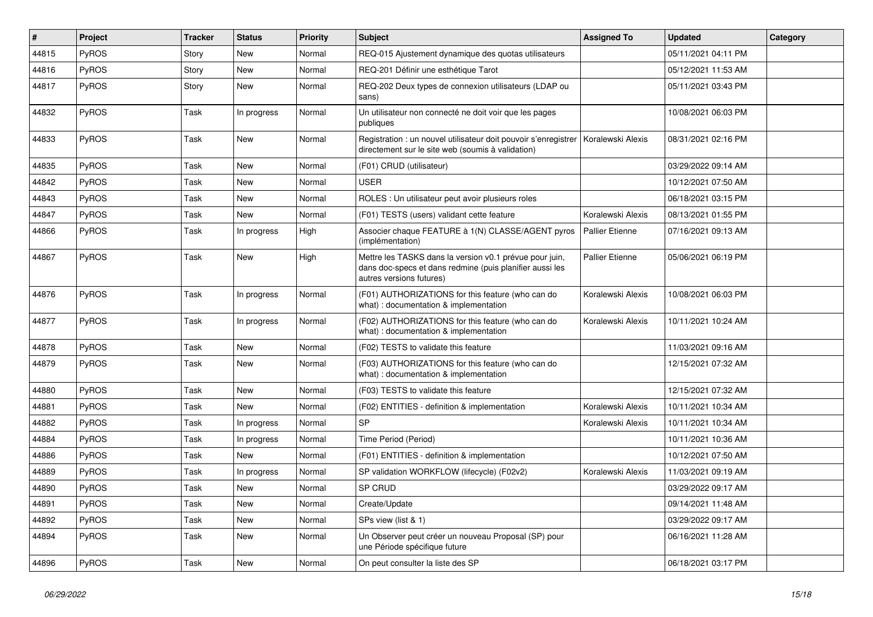| #     | Project      | <b>Tracker</b> | <b>Status</b> | <b>Priority</b> | Subject                                                                                                                                         | <b>Assigned To</b>     | <b>Updated</b>      | Category |
|-------|--------------|----------------|---------------|-----------------|-------------------------------------------------------------------------------------------------------------------------------------------------|------------------------|---------------------|----------|
| 44815 | PyROS        | Story          | <b>New</b>    | Normal          | REQ-015 Ajustement dynamique des quotas utilisateurs                                                                                            |                        | 05/11/2021 04:11 PM |          |
| 44816 | PyROS        | Story          | New           | Normal          | REQ-201 Définir une esthétique Tarot                                                                                                            |                        | 05/12/2021 11:53 AM |          |
| 44817 | PyROS        | Story          | New           | Normal          | REQ-202 Deux types de connexion utilisateurs (LDAP ou<br>sans)                                                                                  |                        | 05/11/2021 03:43 PM |          |
| 44832 | PyROS        | Task           | In progress   | Normal          | Un utilisateur non connecté ne doit voir que les pages<br>publiques                                                                             |                        | 10/08/2021 06:03 PM |          |
| 44833 | PyROS        | Task           | <b>New</b>    | Normal          | Registration : un nouvel utilisateur doit pouvoir s'enregistrer<br>directement sur le site web (soumis à validation)                            | Koralewski Alexis      | 08/31/2021 02:16 PM |          |
| 44835 | PyROS        | Task           | New           | Normal          | (F01) CRUD (utilisateur)                                                                                                                        |                        | 03/29/2022 09:14 AM |          |
| 44842 | PyROS        | Task           | New           | Normal          | <b>USER</b>                                                                                                                                     |                        | 10/12/2021 07:50 AM |          |
| 44843 | PyROS        | Task           | <b>New</b>    | Normal          | ROLES : Un utilisateur peut avoir plusieurs roles                                                                                               |                        | 06/18/2021 03:15 PM |          |
| 44847 | PyROS        | Task           | New           | Normal          | (F01) TESTS (users) validant cette feature                                                                                                      | Koralewski Alexis      | 08/13/2021 01:55 PM |          |
| 44866 | PyROS        | Task           | In progress   | High            | Associer chaque FEATURE à 1(N) CLASSE/AGENT pyros<br>(implémentation)                                                                           | <b>Pallier Etienne</b> | 07/16/2021 09:13 AM |          |
| 44867 | PyROS        | Task           | New           | High            | Mettre les TASKS dans la version v0.1 prévue pour juin,<br>dans doc-specs et dans redmine (puis planifier aussi les<br>autres versions futures) | <b>Pallier Etienne</b> | 05/06/2021 06:19 PM |          |
| 44876 | PyROS        | Task           | In progress   | Normal          | (F01) AUTHORIZATIONS for this feature (who can do<br>what) : documentation & implementation                                                     | Koralewski Alexis      | 10/08/2021 06:03 PM |          |
| 44877 | PyROS        | Task           | In progress   | Normal          | (F02) AUTHORIZATIONS for this feature (who can do<br>what) : documentation & implementation                                                     | Koralewski Alexis      | 10/11/2021 10:24 AM |          |
| 44878 | PyROS        | Task           | <b>New</b>    | Normal          | (F02) TESTS to validate this feature                                                                                                            |                        | 11/03/2021 09:16 AM |          |
| 44879 | PyROS        | Task           | New           | Normal          | (F03) AUTHORIZATIONS for this feature (who can do<br>what) : documentation & implementation                                                     |                        | 12/15/2021 07:32 AM |          |
| 44880 | <b>PyROS</b> | Task           | New           | Normal          | (F03) TESTS to validate this feature                                                                                                            |                        | 12/15/2021 07:32 AM |          |
| 44881 | PyROS        | Task           | <b>New</b>    | Normal          | (F02) ENTITIES - definition & implementation                                                                                                    | Koralewski Alexis      | 10/11/2021 10:34 AM |          |
| 44882 | PyROS        | Task           | In progress   | Normal          | SP                                                                                                                                              | Koralewski Alexis      | 10/11/2021 10:34 AM |          |
| 44884 | PyROS        | Task           | In progress   | Normal          | Time Period (Period)                                                                                                                            |                        | 10/11/2021 10:36 AM |          |
| 44886 | PyROS        | Task           | <b>New</b>    | Normal          | (F01) ENTITIES - definition & implementation                                                                                                    |                        | 10/12/2021 07:50 AM |          |
| 44889 | PyROS        | Task           | In progress   | Normal          | SP validation WORKFLOW (lifecycle) (F02v2)                                                                                                      | Koralewski Alexis      | 11/03/2021 09:19 AM |          |
| 44890 | PyROS        | Task           | New           | Normal          | SP CRUD                                                                                                                                         |                        | 03/29/2022 09:17 AM |          |
| 44891 | PyROS        | Task           | New           | Normal          | Create/Update                                                                                                                                   |                        | 09/14/2021 11:48 AM |          |
| 44892 | PyROS        | Task           | New           | Normal          | SPs view (list & 1)                                                                                                                             |                        | 03/29/2022 09:17 AM |          |
| 44894 | PyROS        | Task           | New           | Normal          | Un Observer peut créer un nouveau Proposal (SP) pour<br>une Période spécifique future                                                           |                        | 06/16/2021 11:28 AM |          |
| 44896 | PyROS        | Task           | New           | Normal          | On peut consulter la liste des SP                                                                                                               |                        | 06/18/2021 03:17 PM |          |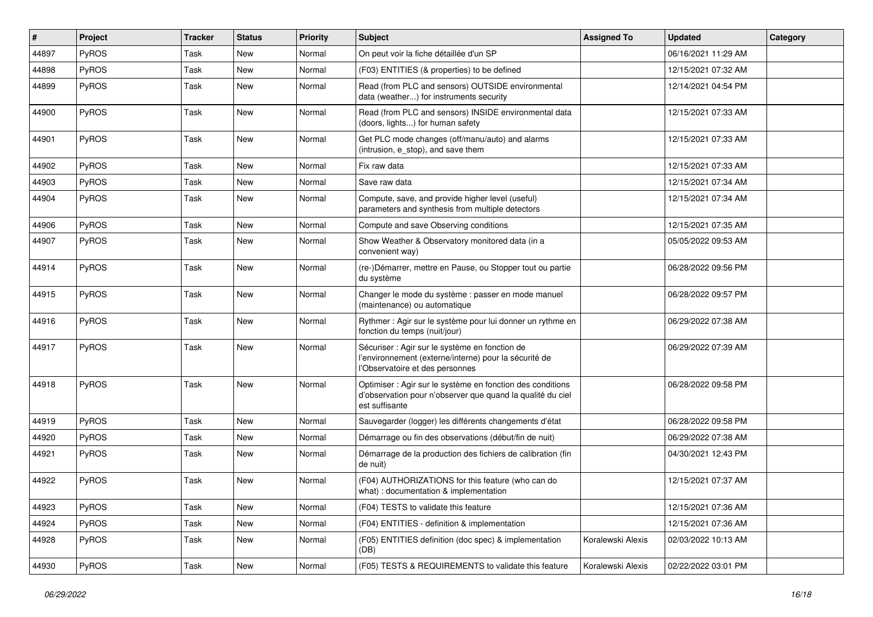| #     | Project      | <b>Tracker</b> | <b>Status</b> | <b>Priority</b> | <b>Subject</b>                                                                                                                             | <b>Assigned To</b> | <b>Updated</b>      | Category |
|-------|--------------|----------------|---------------|-----------------|--------------------------------------------------------------------------------------------------------------------------------------------|--------------------|---------------------|----------|
| 44897 | PyROS        | Task           | <b>New</b>    | Normal          | On peut voir la fiche détaillée d'un SP                                                                                                    |                    | 06/16/2021 11:29 AM |          |
| 44898 | PyROS        | Task           | New           | Normal          | (F03) ENTITIES (& properties) to be defined                                                                                                |                    | 12/15/2021 07:32 AM |          |
| 44899 | PyROS        | Task           | New           | Normal          | Read (from PLC and sensors) OUTSIDE environmental<br>data (weather) for instruments security                                               |                    | 12/14/2021 04:54 PM |          |
| 44900 | <b>PyROS</b> | Task           | New           | Normal          | Read (from PLC and sensors) INSIDE environmental data<br>(doors, lights) for human safety                                                  |                    | 12/15/2021 07:33 AM |          |
| 44901 | PyROS        | Task           | <b>New</b>    | Normal          | Get PLC mode changes (off/manu/auto) and alarms<br>(intrusion, e_stop), and save them                                                      |                    | 12/15/2021 07:33 AM |          |
| 44902 | PyROS        | Task           | New           | Normal          | Fix raw data                                                                                                                               |                    | 12/15/2021 07:33 AM |          |
| 44903 | PyROS        | Task           | New           | Normal          | Save raw data                                                                                                                              |                    | 12/15/2021 07:34 AM |          |
| 44904 | PyROS        | Task           | New           | Normal          | Compute, save, and provide higher level (useful)<br>parameters and synthesis from multiple detectors                                       |                    | 12/15/2021 07:34 AM |          |
| 44906 | PyROS        | Task           | New           | Normal          | Compute and save Observing conditions                                                                                                      |                    | 12/15/2021 07:35 AM |          |
| 44907 | PyROS        | Task           | New           | Normal          | Show Weather & Observatory monitored data (in a<br>convenient way)                                                                         |                    | 05/05/2022 09:53 AM |          |
| 44914 | PyROS        | Task           | New           | Normal          | (re-)Démarrer, mettre en Pause, ou Stopper tout ou partie<br>du système                                                                    |                    | 06/28/2022 09:56 PM |          |
| 44915 | PyROS        | Task           | New           | Normal          | Changer le mode du système : passer en mode manuel<br>(maintenance) ou automatique                                                         |                    | 06/28/2022 09:57 PM |          |
| 44916 | PyROS        | Task           | <b>New</b>    | Normal          | Rythmer : Agir sur le système pour lui donner un rythme en<br>fonction du temps (nuit/jour)                                                |                    | 06/29/2022 07:38 AM |          |
| 44917 | PyROS        | Task           | New           | Normal          | Sécuriser : Agir sur le système en fonction de<br>l'environnement (externe/interne) pour la sécurité de<br>l'Observatoire et des personnes |                    | 06/29/2022 07:39 AM |          |
| 44918 | PyROS        | Task           | <b>New</b>    | Normal          | Optimiser : Agir sur le système en fonction des conditions<br>d'observation pour n'observer que quand la qualité du ciel<br>est suffisante |                    | 06/28/2022 09:58 PM |          |
| 44919 | PyROS        | Task           | New           | Normal          | Sauvegarder (logger) les différents changements d'état                                                                                     |                    | 06/28/2022 09:58 PM |          |
| 44920 | PyROS        | Task           | <b>New</b>    | Normal          | Démarrage ou fin des observations (début/fin de nuit)                                                                                      |                    | 06/29/2022 07:38 AM |          |
| 44921 | <b>PyROS</b> | Task           | New           | Normal          | Démarrage de la production des fichiers de calibration (fin<br>de nuit)                                                                    |                    | 04/30/2021 12:43 PM |          |
| 44922 | PyROS        | Task           | New           | Normal          | (F04) AUTHORIZATIONS for this feature (who can do<br>what) : documentation & implementation                                                |                    | 12/15/2021 07:37 AM |          |
| 44923 | PyROS        | Task           | New           | Normal          | (F04) TESTS to validate this feature                                                                                                       |                    | 12/15/2021 07:36 AM |          |
| 44924 | PyROS        | Task           | New           | Normal          | (F04) ENTITIES - definition & implementation                                                                                               |                    | 12/15/2021 07:36 AM |          |
| 44928 | PyROS        | Task           | New           | Normal          | (F05) ENTITIES definition (doc spec) & implementation<br>(DB)                                                                              | Koralewski Alexis  | 02/03/2022 10:13 AM |          |
| 44930 | PyROS        | Task           | New           | Normal          | (F05) TESTS & REQUIREMENTS to validate this feature                                                                                        | Koralewski Alexis  | 02/22/2022 03:01 PM |          |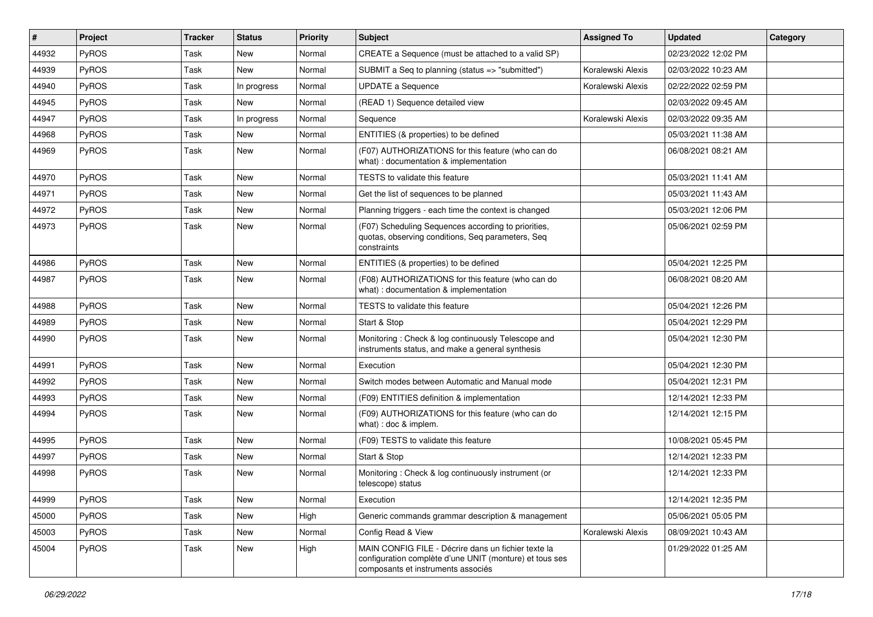| #     | Project | <b>Tracker</b> | <b>Status</b> | <b>Priority</b> | <b>Subject</b>                                                                                                                                       | <b>Assigned To</b> | <b>Updated</b>      | Category |
|-------|---------|----------------|---------------|-----------------|------------------------------------------------------------------------------------------------------------------------------------------------------|--------------------|---------------------|----------|
| 44932 | PyROS   | Task           | New           | Normal          | CREATE a Sequence (must be attached to a valid SP)                                                                                                   |                    | 02/23/2022 12:02 PM |          |
| 44939 | PyROS   | Task           | <b>New</b>    | Normal          | SUBMIT a Seq to planning (status => "submitted")                                                                                                     | Koralewski Alexis  | 02/03/2022 10:23 AM |          |
| 44940 | PyROS   | Task           | In progress   | Normal          | <b>UPDATE a Sequence</b>                                                                                                                             | Koralewski Alexis  | 02/22/2022 02:59 PM |          |
| 44945 | PyROS   | Task           | New           | Normal          | (READ 1) Sequence detailed view                                                                                                                      |                    | 02/03/2022 09:45 AM |          |
| 44947 | PyROS   | Task           | In progress   | Normal          | Sequence                                                                                                                                             | Koralewski Alexis  | 02/03/2022 09:35 AM |          |
| 44968 | PyROS   | Task           | New           | Normal          | ENTITIES (& properties) to be defined                                                                                                                |                    | 05/03/2021 11:38 AM |          |
| 44969 | PyROS   | Task           | <b>New</b>    | Normal          | (F07) AUTHORIZATIONS for this feature (who can do<br>what) : documentation & implementation                                                          |                    | 06/08/2021 08:21 AM |          |
| 44970 | PyROS   | Task           | <b>New</b>    | Normal          | TESTS to validate this feature                                                                                                                       |                    | 05/03/2021 11:41 AM |          |
| 44971 | PyROS   | Task           | New           | Normal          | Get the list of sequences to be planned                                                                                                              |                    | 05/03/2021 11:43 AM |          |
| 44972 | PyROS   | Task           | <b>New</b>    | Normal          | Planning triggers - each time the context is changed                                                                                                 |                    | 05/03/2021 12:06 PM |          |
| 44973 | PyROS   | Task           | New           | Normal          | (F07) Scheduling Sequences according to priorities,<br>quotas, observing conditions, Seq parameters, Seq<br>constraints                              |                    | 05/06/2021 02:59 PM |          |
| 44986 | PyROS   | Task           | <b>New</b>    | Normal          | ENTITIES (& properties) to be defined                                                                                                                |                    | 05/04/2021 12:25 PM |          |
| 44987 | PyROS   | Task           | New           | Normal          | (F08) AUTHORIZATIONS for this feature (who can do<br>what) : documentation & implementation                                                          |                    | 06/08/2021 08:20 AM |          |
| 44988 | PyROS   | Task           | New           | Normal          | TESTS to validate this feature                                                                                                                       |                    | 05/04/2021 12:26 PM |          |
| 44989 | PyROS   | Task           | New           | Normal          | Start & Stop                                                                                                                                         |                    | 05/04/2021 12:29 PM |          |
| 44990 | PyROS   | Task           | New           | Normal          | Monitoring: Check & log continuously Telescope and<br>instruments status, and make a general synthesis                                               |                    | 05/04/2021 12:30 PM |          |
| 44991 | PyROS   | Task           | New           | Normal          | Execution                                                                                                                                            |                    | 05/04/2021 12:30 PM |          |
| 44992 | PyROS   | Task           | New           | Normal          | Switch modes between Automatic and Manual mode                                                                                                       |                    | 05/04/2021 12:31 PM |          |
| 44993 | PyROS   | Task           | New           | Normal          | (F09) ENTITIES definition & implementation                                                                                                           |                    | 12/14/2021 12:33 PM |          |
| 44994 | PyROS   | Task           | New           | Normal          | (F09) AUTHORIZATIONS for this feature (who can do<br>what) : doc & implem.                                                                           |                    | 12/14/2021 12:15 PM |          |
| 44995 | PyROS   | Task           | New           | Normal          | (F09) TESTS to validate this feature                                                                                                                 |                    | 10/08/2021 05:45 PM |          |
| 44997 | PyROS   | Task           | New           | Normal          | Start & Stop                                                                                                                                         |                    | 12/14/2021 12:33 PM |          |
| 44998 | PyROS   | Task           | New           | Normal          | Monitoring: Check & log continuously instrument (or<br>telescope) status                                                                             |                    | 12/14/2021 12:33 PM |          |
| 44999 | PyROS   | Task           | New           | Normal          | Execution                                                                                                                                            |                    | 12/14/2021 12:35 PM |          |
| 45000 | PyROS   | Task           | New           | High            | Generic commands grammar description & management                                                                                                    |                    | 05/06/2021 05:05 PM |          |
| 45003 | PyROS   | Task           | New           | Normal          | Config Read & View                                                                                                                                   | Koralewski Alexis  | 08/09/2021 10:43 AM |          |
| 45004 | PyROS   | Task           | New           | High            | MAIN CONFIG FILE - Décrire dans un fichier texte la<br>configuration complète d'une UNIT (monture) et tous ses<br>composants et instruments associés |                    | 01/29/2022 01:25 AM |          |